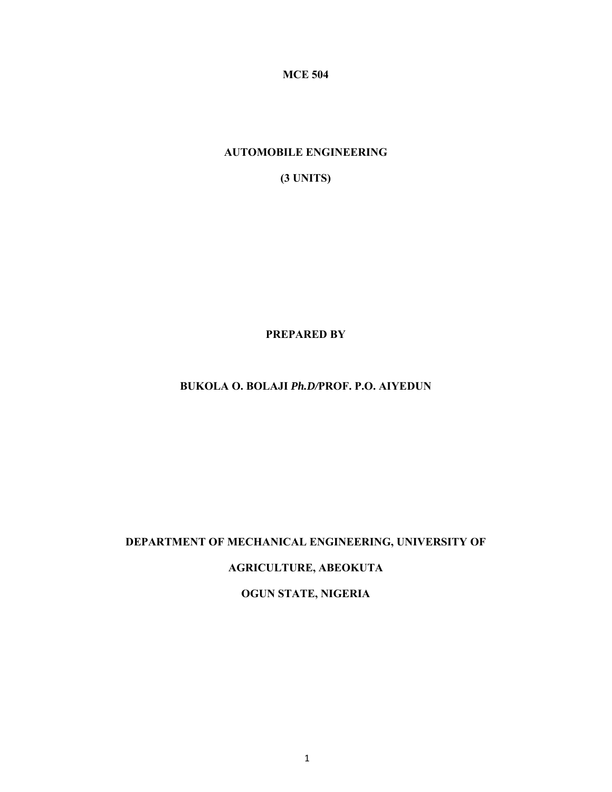**MCE 504** 

# **AUTOMOBILE ENGINEERING**

**(3 UNITS)** 

**PREPARED BY**

**BUKOLA O. BOLAJI** *Ph.D/***PROF. P.O. AIYEDUN**

# **DEPARTMENT OF MECHANICAL ENGINEERING, UNIVERSITY OF**

**AGRICULTURE, ABEOKUTA** 

**OGUN STATE, NIGERIA**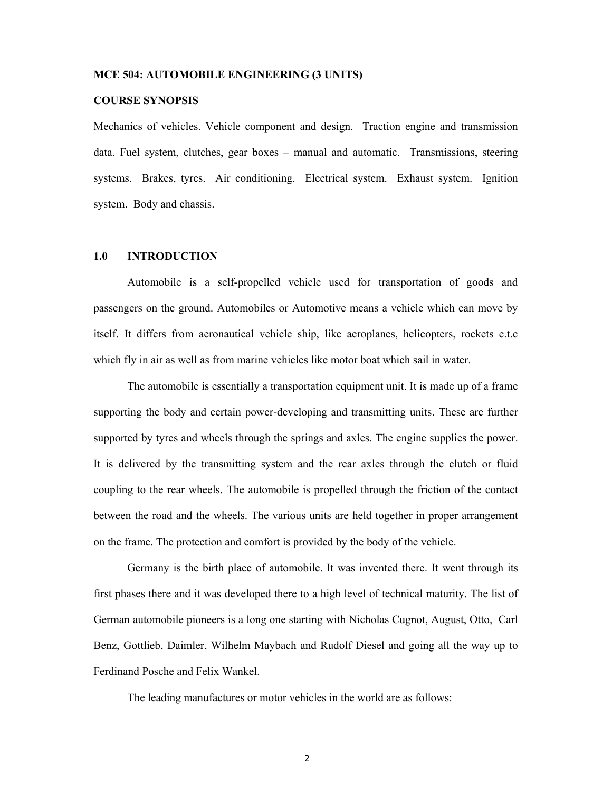#### **MCE 504: AUTOMOBILE ENGINEERING (3 UNITS)**

#### **COURSE SYNOPSIS**

Mechanics of vehicles. Vehicle component and design. Traction engine and transmission data. Fuel system, clutches, gear boxes – manual and automatic. Transmissions, steering systems. Brakes, tyres. Air conditioning. Electrical system. Exhaust system. Ignition system. Body and chassis.

#### **1.0 INTRODUCTION**

Automobile is a self-propelled vehicle used for transportation of goods and passengers on the ground. Automobiles or Automotive means a vehicle which can move by itself. It differs from aeronautical vehicle ship, like aeroplanes, helicopters, rockets e.t.c which fly in air as well as from marine vehicles like motor boat which sail in water.

The automobile is essentially a transportation equipment unit. It is made up of a frame supporting the body and certain power-developing and transmitting units. These are further supported by tyres and wheels through the springs and axles. The engine supplies the power. It is delivered by the transmitting system and the rear axles through the clutch or fluid coupling to the rear wheels. The automobile is propelled through the friction of the contact between the road and the wheels. The various units are held together in proper arrangement on the frame. The protection and comfort is provided by the body of the vehicle.

 Germany is the birth place of automobile. It was invented there. It went through its first phases there and it was developed there to a high level of technical maturity. The list of German automobile pioneers is a long one starting with Nicholas Cugnot, August, Otto, Carl Benz, Gottlieb, Daimler, Wilhelm Maybach and Rudolf Diesel and going all the way up to Ferdinand Posche and Felix Wankel.

The leading manufactures or motor vehicles in the world are as follows: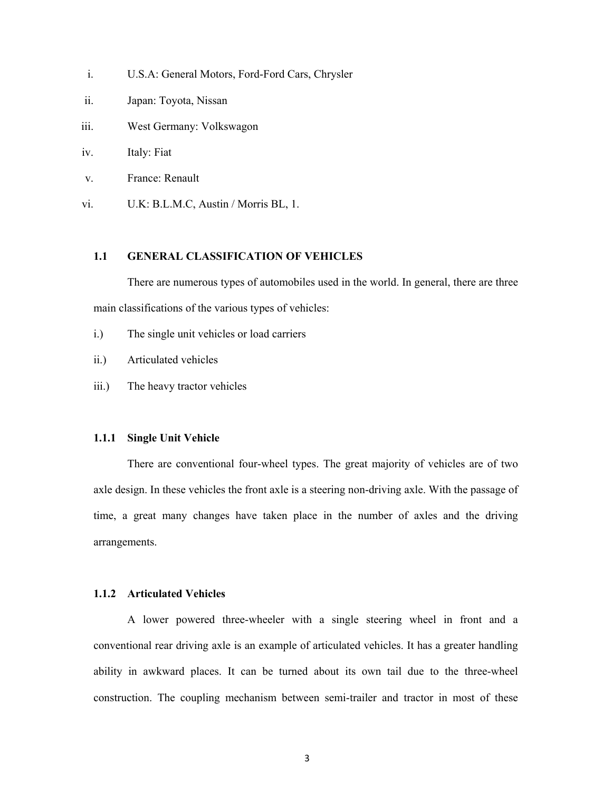- i. U.S.A: General Motors, Ford-Ford Cars, Chrysler
- ii. Japan: Toyota, Nissan
- iii. West Germany: Volkswagon
- iv. Italy: Fiat
- v. France: Renault
- vi. U.K: B.L.M.C, Austin / Morris BL, 1.

## **1.1 GENERAL CLASSIFICATION OF VEHICLES**

There are numerous types of automobiles used in the world. In general, there are three main classifications of the various types of vehicles:

- i.) The single unit vehicles or load carriers
- ii.) Articulated vehicles
- iii.) The heavy tractor vehicles

#### **1.1.1 Single Unit Vehicle**

There are conventional four-wheel types. The great majority of vehicles are of two axle design. In these vehicles the front axle is a steering non-driving axle. With the passage of time, a great many changes have taken place in the number of axles and the driving arrangements.

## **1.1.2 Articulated Vehicles**

A lower powered three-wheeler with a single steering wheel in front and a conventional rear driving axle is an example of articulated vehicles. It has a greater handling ability in awkward places. It can be turned about its own tail due to the three-wheel construction. The coupling mechanism between semi-trailer and tractor in most of these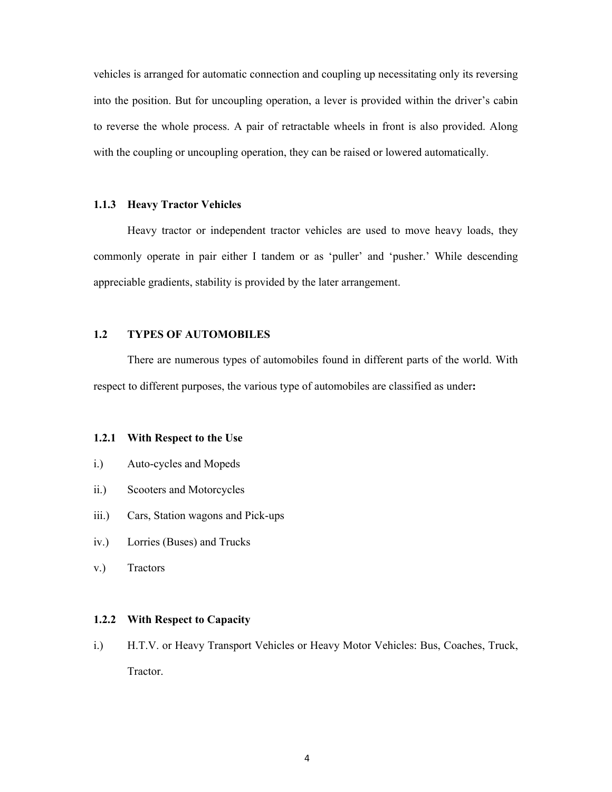vehicles is arranged for automatic connection and coupling up necessitating only its reversing into the position. But for uncoupling operation, a lever is provided within the driver's cabin to reverse the whole process. A pair of retractable wheels in front is also provided. Along with the coupling or uncoupling operation, they can be raised or lowered automatically.

## **1.1.3 Heavy Tractor Vehicles**

Heavy tractor or independent tractor vehicles are used to move heavy loads, they commonly operate in pair either I tandem or as 'puller' and 'pusher.' While descending appreciable gradients, stability is provided by the later arrangement.

## **1.2 TYPES OF AUTOMOBILES**

There are numerous types of automobiles found in different parts of the world. With respect to different purposes, the various type of automobiles are classified as under**:** 

#### **1.2.1 With Respect to the Use**

- i.) Auto-cycles and Mopeds
- ii.) Scooters and Motorcycles
- iii.) Cars, Station wagons and Pick-ups
- iv.) Lorries (Buses) and Trucks
- v.) Tractors

#### **1.2.2 With Respect to Capacity**

i.) H.T.V. or Heavy Transport Vehicles or Heavy Motor Vehicles: Bus, Coaches, Truck, Tractor.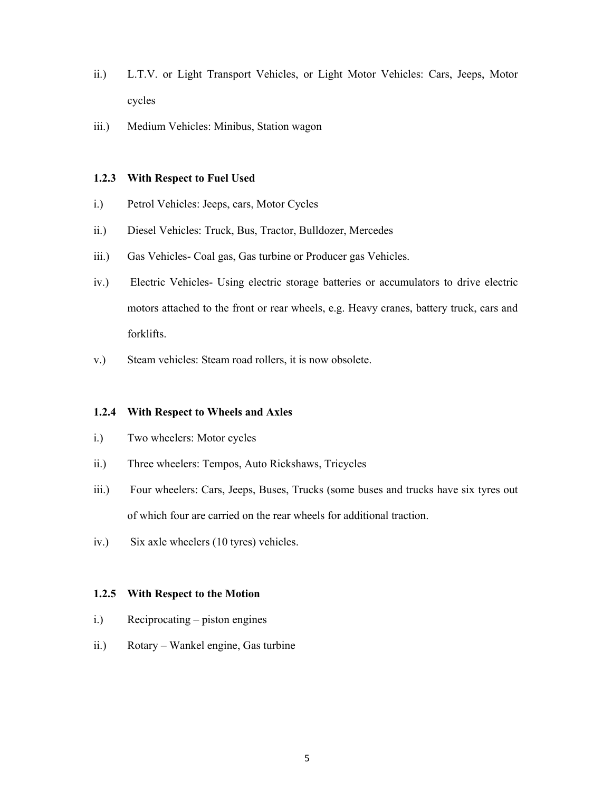- ii.) L.T.V. or Light Transport Vehicles, or Light Motor Vehicles: Cars, Jeeps, Motor cycles
- iii.) Medium Vehicles: Minibus, Station wagon

## **1.2.3 With Respect to Fuel Used**

- i.) Petrol Vehicles: Jeeps, cars, Motor Cycles
- ii.) Diesel Vehicles: Truck, Bus, Tractor, Bulldozer, Mercedes
- iii.) Gas Vehicles- Coal gas, Gas turbine or Producer gas Vehicles.
- iv.) Electric Vehicles- Using electric storage batteries or accumulators to drive electric motors attached to the front or rear wheels, e.g. Heavy cranes, battery truck, cars and forklifts.
- v.) Steam vehicles: Steam road rollers, it is now obsolete.

## **1.2.4 With Respect to Wheels and Axles**

- i.) Two wheelers: Motor cycles
- ii.) Three wheelers: Tempos, Auto Rickshaws, Tricycles
- iii.) Four wheelers: Cars, Jeeps, Buses, Trucks (some buses and trucks have six tyres out of which four are carried on the rear wheels for additional traction.
- iv.) Six axle wheelers (10 tyres) vehicles.

## **1.2.5 With Respect to the Motion**

- i.) Reciprocating piston engines
- ii.) Rotary Wankel engine, Gas turbine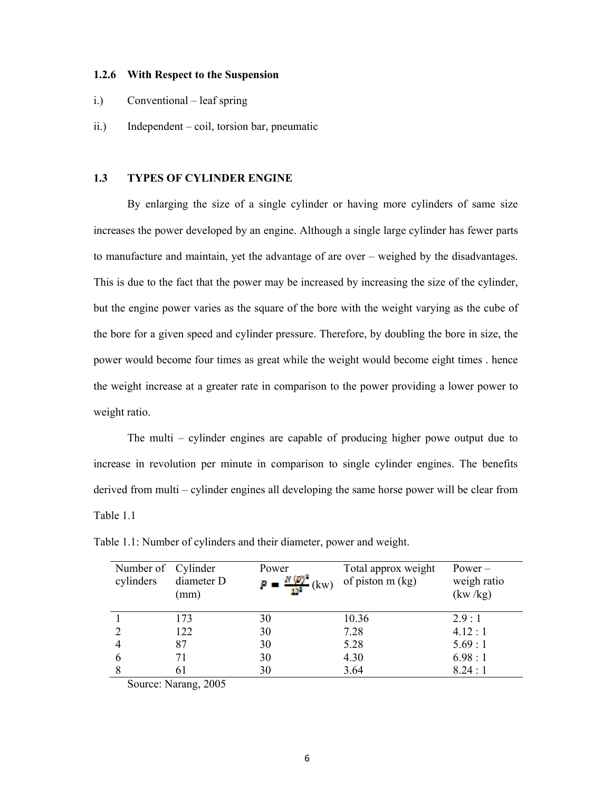#### **1.2.6 With Respect to the Suspension**

- i.) Conventional leaf spring
- ii.) Independent coil, torsion bar, pneumatic

## **1.3 TYPES OF CYLINDER ENGINE**

By enlarging the size of a single cylinder or having more cylinders of same size increases the power developed by an engine. Although a single large cylinder has fewer parts to manufacture and maintain, yet the advantage of are over – weighed by the disadvantages. This is due to the fact that the power may be increased by increasing the size of the cylinder, but the engine power varies as the square of the bore with the weight varying as the cube of the bore for a given speed and cylinder pressure. Therefore, by doubling the bore in size, the power would become four times as great while the weight would become eight times . hence the weight increase at a greater rate in comparison to the power providing a lower power to weight ratio.

 The multi – cylinder engines are capable of producing higher powe output due to increase in revolution per minute in comparison to single cylinder engines. The benefits derived from multi – cylinder engines all developing the same horse power will be clear from Table 1.1

| Number of Cylinder<br>cylinders | diameter D<br>(mm) | Power<br>$P = \frac{N(p)^2}{10^5}$ (kw) | Total approx weight<br>of piston $m$ (kg) | $Power -$<br>weigh ratio<br>(kw/kg) |
|---------------------------------|--------------------|-----------------------------------------|-------------------------------------------|-------------------------------------|
|                                 | 173                | 30                                      | 10.36                                     | $29 \cdot 1$                        |
|                                 | 122                | 30                                      | 7.28                                      | 4.12:1                              |
|                                 | 87                 | 30                                      | 5.28                                      | 5.69:1                              |
| 6                               | 71                 | 30                                      | 4.30                                      | 6.98:1                              |
|                                 | 61                 | 30                                      | 3.64                                      | 8.24:1                              |

Table 1.1: Number of cylinders and their diameter, power and weight.

Source: Narang, 2005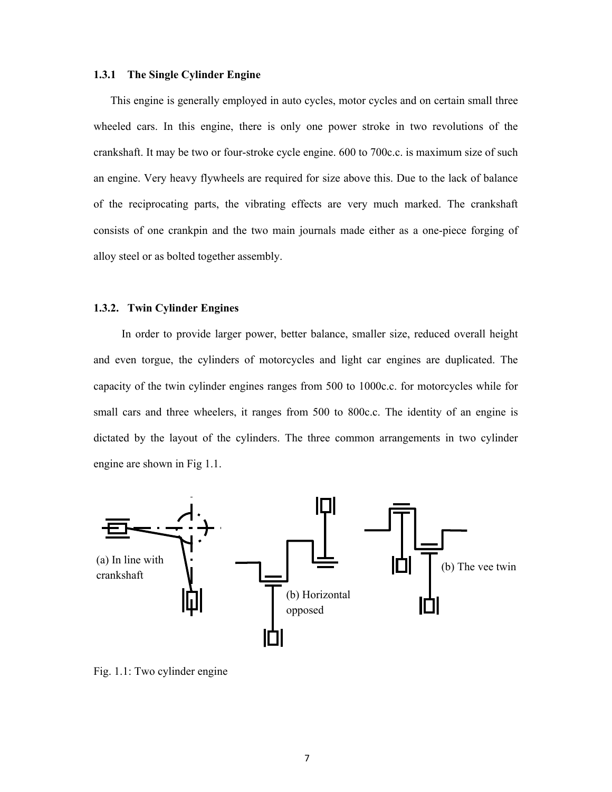#### **1.3.1 The Single Cylinder Engine**

 This engine is generally employed in auto cycles, motor cycles and on certain small three wheeled cars. In this engine, there is only one power stroke in two revolutions of the crankshaft. It may be two or four-stroke cycle engine. 600 to 700c.c. is maximum size of such an engine. Very heavy flywheels are required for size above this. Due to the lack of balance of the reciprocating parts, the vibrating effects are very much marked. The crankshaft consists of one crankpin and the two main journals made either as a one-piece forging of alloy steel or as bolted together assembly.

## **1.3.2. Twin Cylinder Engines**

 In order to provide larger power, better balance, smaller size, reduced overall height and even torgue, the cylinders of motorcycles and light car engines are duplicated. The capacity of the twin cylinder engines ranges from 500 to 1000c.c. for motorcycles while for small cars and three wheelers, it ranges from 500 to 800c.c. The identity of an engine is dictated by the layout of the cylinders. The three common arrangements in two cylinder engine are shown in Fig 1.1.



Fig. 1.1: Two cylinder engine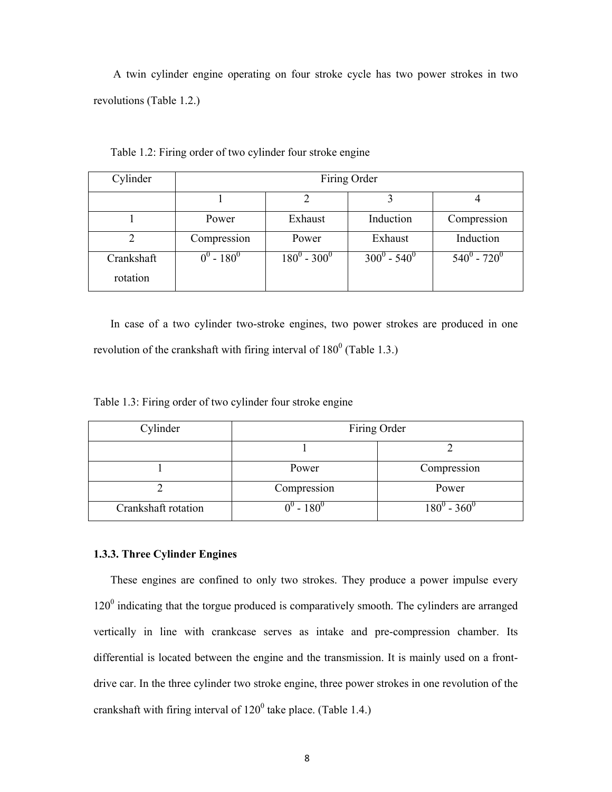A twin cylinder engine operating on four stroke cycle has two power strokes in two revolutions (Table 1.2.)

| Cylinder               | Firing Order  |                 |                 |                   |
|------------------------|---------------|-----------------|-----------------|-------------------|
|                        |               |                 |                 |                   |
|                        | Power         | Exhaust         | Induction       | Compression       |
|                        | Compression   | Power           | Exhaust         | Induction         |
| Crankshaft<br>rotation | $0^0 - 180^0$ | $180^0 - 300^0$ | $300^0 - 540^0$ | $540^0$ - $720^0$ |

Table 1.2: Firing order of two cylinder four stroke engine

 In case of a two cylinder two-stroke engines, two power strokes are produced in one revolution of the crankshaft with firing interval of  $180^0$  (Table 1.3.)

Table 1.3: Firing order of two cylinder four stroke engine

| Cylinder            | Firing Order   |                 |  |
|---------------------|----------------|-----------------|--|
|                     |                |                 |  |
|                     | Power          | Compression     |  |
|                     | Compression    | Power           |  |
| Crankshaft rotation | $-180^{\circ}$ | $180^0 - 360^0$ |  |

## **1.3.3. Three Cylinder Engines**

 These engines are confined to only two strokes. They produce a power impulse every  $120<sup>0</sup>$  indicating that the torgue produced is comparatively smooth. The cylinders are arranged vertically in line with crankcase serves as intake and pre-compression chamber. Its differential is located between the engine and the transmission. It is mainly used on a frontdrive car. In the three cylinder two stroke engine, three power strokes in one revolution of the crankshaft with firing interval of  $120^0$  take place. (Table 1.4.)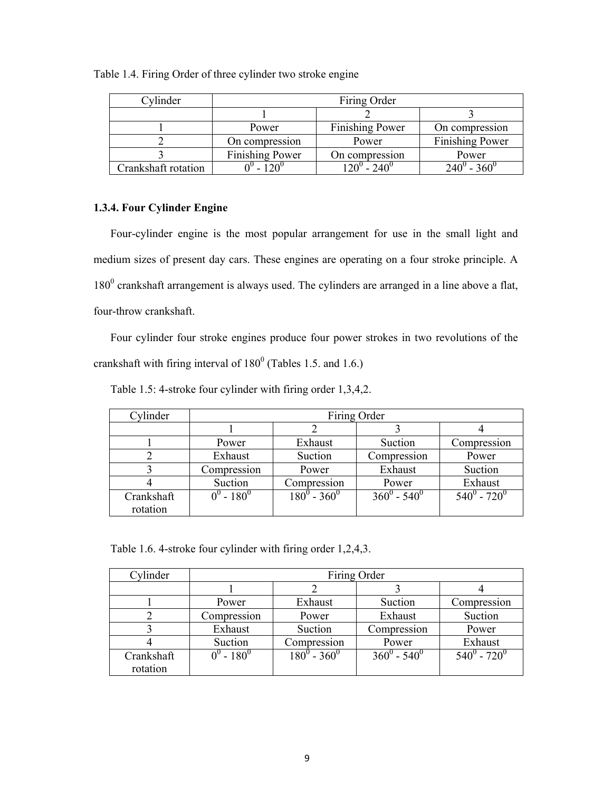| Cylinder            | Firing Order    |                                       |                            |  |
|---------------------|-----------------|---------------------------------------|----------------------------|--|
|                     |                 |                                       |                            |  |
|                     | Power           | <b>Finishing Power</b>                | On compression             |  |
|                     | On compression  | Power                                 | <b>Finishing Power</b>     |  |
|                     | Finishing Power | On compression                        | Power                      |  |
| Crankshaft rotation | 12 $\Omega^0$   | 120 $^{\mathrm{u}}$<br>$-240^{\circ}$ | $360^\circ$<br>$240^\circ$ |  |

Table 1.4. Firing Order of three cylinder two stroke engine

# **1.3.4. Four Cylinder Engine**

 Four-cylinder engine is the most popular arrangement for use in the small light and medium sizes of present day cars. These engines are operating on a four stroke principle. A  $180<sup>0</sup>$  crankshaft arrangement is always used. The cylinders are arranged in a line above a flat, four-throw crankshaft.

 Four cylinder four stroke engines produce four power strokes in two revolutions of the crankshaft with firing interval of  $180^{\circ}$  (Tables 1.5. and 1.6.)

Table 1.5: 4-stroke four cylinder with firing order 1,3,4,2.

| Cylinder               | Firing Order             |                 |                 |                 |
|------------------------|--------------------------|-----------------|-----------------|-----------------|
|                        |                          |                 |                 |                 |
|                        | Power                    | Exhaust         | Suction         | Compression     |
|                        | Exhaust                  | Suction         | Compression     | Power           |
|                        | Compression              | Power           | Exhaust         | Suction         |
|                        | Suction                  | Compression     | Power           | Exhaust         |
| Crankshaft<br>rotation | $0^0$ - 180 <sup>0</sup> | $180^0 - 360^0$ | $360^0 - 540^0$ | $540^0 - 720^0$ |

Table 1.6. 4-stroke four cylinder with firing order 1,2,4,3.

| Cylinder   | Firing Order             |                 |                 |                 |
|------------|--------------------------|-----------------|-----------------|-----------------|
|            |                          |                 |                 |                 |
|            | Power                    | Exhaust         | Suction         | Compression     |
|            | Compression              | Power           | Exhaust         | Suction         |
|            | Exhaust                  | Suction         | Compression     | Power           |
|            | Suction                  | Compression     | Power           | Exhaust         |
| Crankshaft | $0^0$ - 180 <sup>0</sup> | $180^0 - 360^0$ | $360^0 - 540^0$ | $540^0 - 720^0$ |
| rotation   |                          |                 |                 |                 |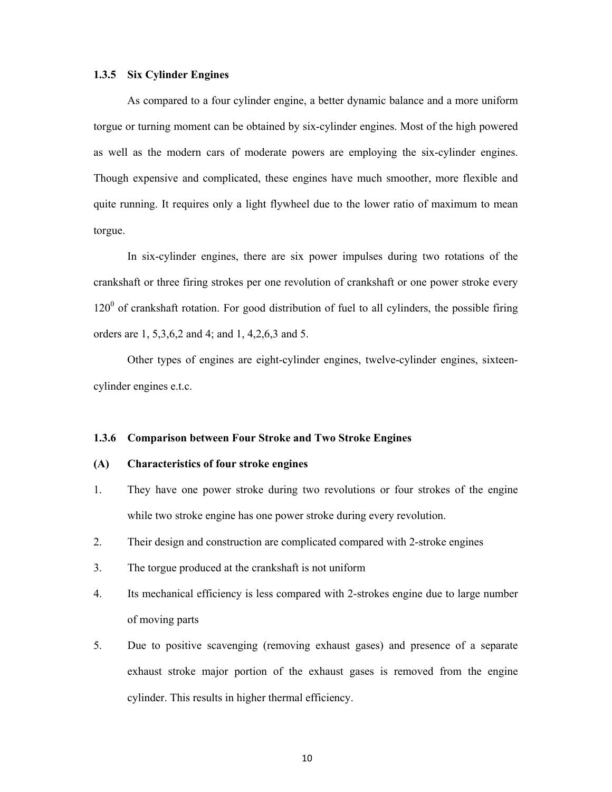#### **1.3.5 Six Cylinder Engines**

 As compared to a four cylinder engine, a better dynamic balance and a more uniform torgue or turning moment can be obtained by six-cylinder engines. Most of the high powered as well as the modern cars of moderate powers are employing the six-cylinder engines. Though expensive and complicated, these engines have much smoother, more flexible and quite running. It requires only a light flywheel due to the lower ratio of maximum to mean torgue.

 In six-cylinder engines, there are six power impulses during two rotations of the crankshaft or three firing strokes per one revolution of crankshaft or one power stroke every  $120<sup>0</sup>$  of crankshaft rotation. For good distribution of fuel to all cylinders, the possible firing orders are 1, 5,3,6,2 and 4; and 1, 4,2,6,3 and 5.

 Other types of engines are eight-cylinder engines, twelve-cylinder engines, sixteencylinder engines e.t.c.

#### **1.3.6 Comparison between Four Stroke and Two Stroke Engines**

#### **(A) Characteristics of four stroke engines**

- 1. They have one power stroke during two revolutions or four strokes of the engine while two stroke engine has one power stroke during every revolution.
- 2. Their design and construction are complicated compared with 2-stroke engines
- 3. The torgue produced at the crankshaft is not uniform
- 4. Its mechanical efficiency is less compared with 2-strokes engine due to large number of moving parts
- 5. Due to positive scavenging (removing exhaust gases) and presence of a separate exhaust stroke major portion of the exhaust gases is removed from the engine cylinder. This results in higher thermal efficiency.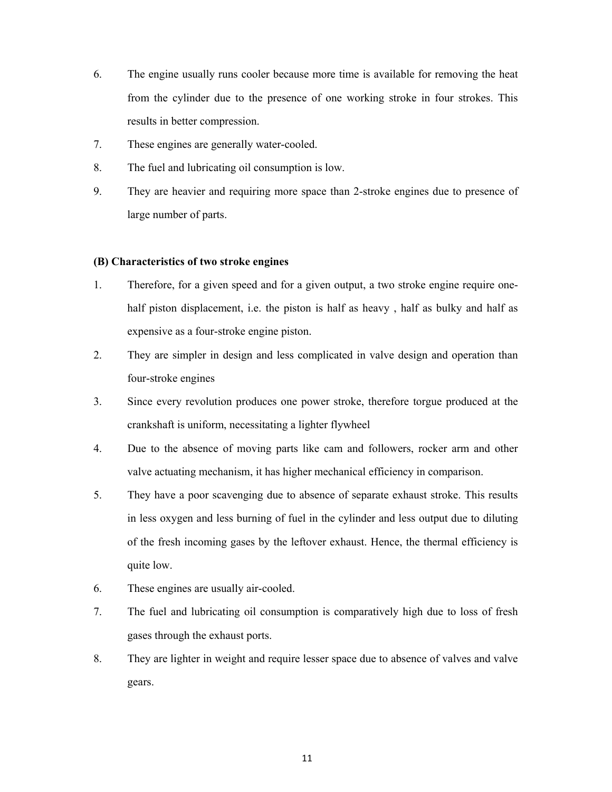- 6. The engine usually runs cooler because more time is available for removing the heat from the cylinder due to the presence of one working stroke in four strokes. This results in better compression.
- 7. These engines are generally water-cooled.
- 8. The fuel and lubricating oil consumption is low.
- 9. They are heavier and requiring more space than 2-stroke engines due to presence of large number of parts.

## **(B) Characteristics of two stroke engines**

- 1. Therefore, for a given speed and for a given output, a two stroke engine require onehalf piston displacement, i.e. the piston is half as heavy , half as bulky and half as expensive as a four-stroke engine piston.
- 2. They are simpler in design and less complicated in valve design and operation than four-stroke engines
- 3. Since every revolution produces one power stroke, therefore torgue produced at the crankshaft is uniform, necessitating a lighter flywheel
- 4. Due to the absence of moving parts like cam and followers, rocker arm and other valve actuating mechanism, it has higher mechanical efficiency in comparison.
- 5. They have a poor scavenging due to absence of separate exhaust stroke. This results in less oxygen and less burning of fuel in the cylinder and less output due to diluting of the fresh incoming gases by the leftover exhaust. Hence, the thermal efficiency is quite low.
- 6. These engines are usually air-cooled.
- 7. The fuel and lubricating oil consumption is comparatively high due to loss of fresh gases through the exhaust ports.
- 8. They are lighter in weight and require lesser space due to absence of valves and valve gears.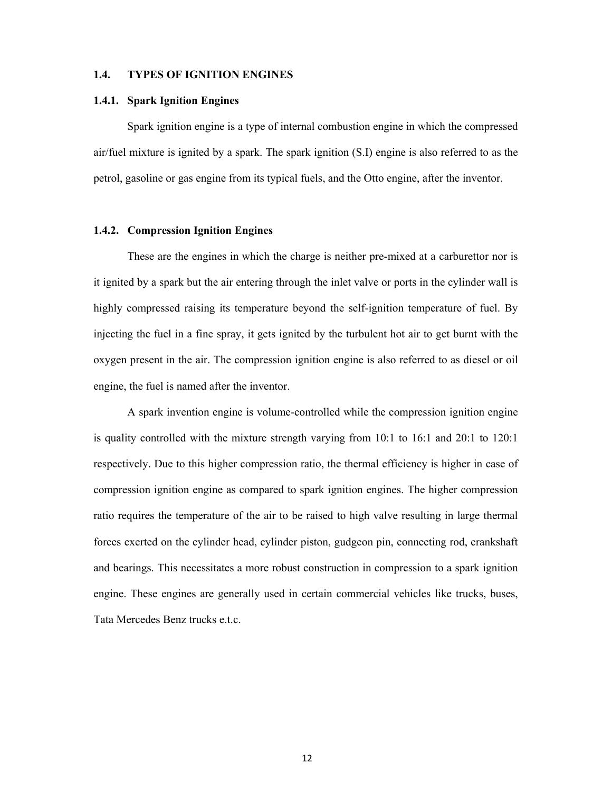## **1.4. TYPES OF IGNITION ENGINES**

### **1.4.1. Spark Ignition Engines**

 Spark ignition engine is a type of internal combustion engine in which the compressed air/fuel mixture is ignited by a spark. The spark ignition (S.I) engine is also referred to as the petrol, gasoline or gas engine from its typical fuels, and the Otto engine, after the inventor.

## **1.4.2. Compression Ignition Engines**

 These are the engines in which the charge is neither pre-mixed at a carburettor nor is it ignited by a spark but the air entering through the inlet valve or ports in the cylinder wall is highly compressed raising its temperature beyond the self-ignition temperature of fuel. By injecting the fuel in a fine spray, it gets ignited by the turbulent hot air to get burnt with the oxygen present in the air. The compression ignition engine is also referred to as diesel or oil engine, the fuel is named after the inventor.

 A spark invention engine is volume-controlled while the compression ignition engine is quality controlled with the mixture strength varying from 10:1 to 16:1 and 20:1 to 120:1 respectively. Due to this higher compression ratio, the thermal efficiency is higher in case of compression ignition engine as compared to spark ignition engines. The higher compression ratio requires the temperature of the air to be raised to high valve resulting in large thermal forces exerted on the cylinder head, cylinder piston, gudgeon pin, connecting rod, crankshaft and bearings. This necessitates a more robust construction in compression to a spark ignition engine. These engines are generally used in certain commercial vehicles like trucks, buses, Tata Mercedes Benz trucks e.t.c.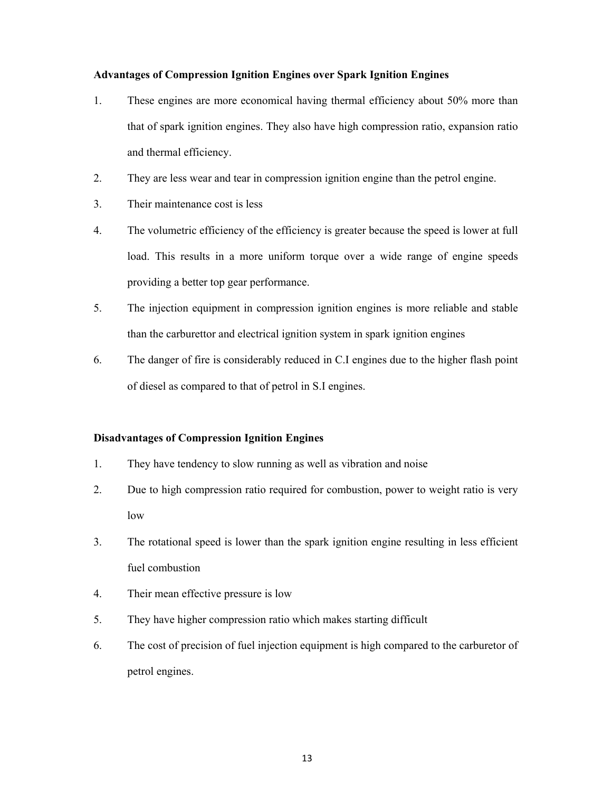## **Advantages of Compression Ignition Engines over Spark Ignition Engines**

- 1. These engines are more economical having thermal efficiency about 50% more than that of spark ignition engines. They also have high compression ratio, expansion ratio and thermal efficiency.
- 2. They are less wear and tear in compression ignition engine than the petrol engine.
- 3. Their maintenance cost is less
- 4. The volumetric efficiency of the efficiency is greater because the speed is lower at full load. This results in a more uniform torque over a wide range of engine speeds providing a better top gear performance.
- 5. The injection equipment in compression ignition engines is more reliable and stable than the carburettor and electrical ignition system in spark ignition engines
- 6. The danger of fire is considerably reduced in C.I engines due to the higher flash point of diesel as compared to that of petrol in S.I engines.

## **Disadvantages of Compression Ignition Engines**

- 1. They have tendency to slow running as well as vibration and noise
- 2. Due to high compression ratio required for combustion, power to weight ratio is very low
- 3. The rotational speed is lower than the spark ignition engine resulting in less efficient fuel combustion
- 4. Their mean effective pressure is low
- 5. They have higher compression ratio which makes starting difficult
- 6. The cost of precision of fuel injection equipment is high compared to the carburetor of petrol engines.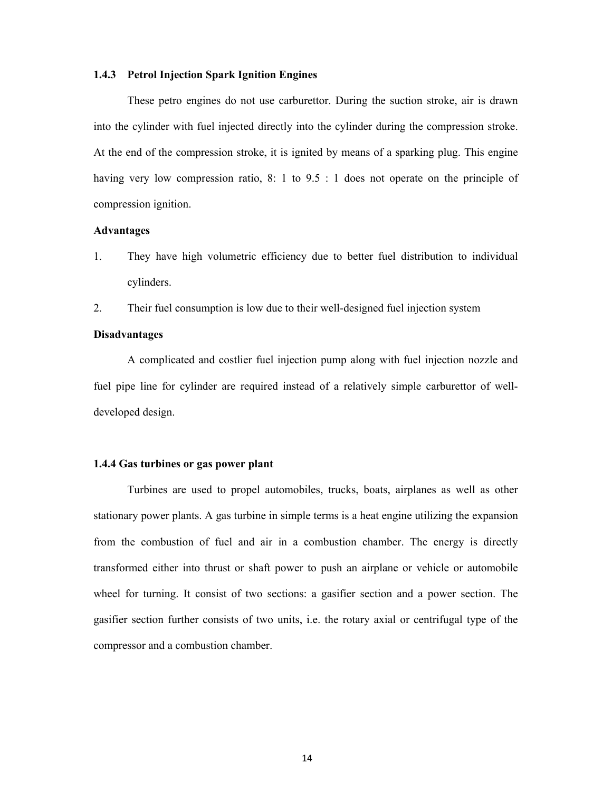#### **1.4.3 Petrol Injection Spark Ignition Engines**

 These petro engines do not use carburettor. During the suction stroke, air is drawn into the cylinder with fuel injected directly into the cylinder during the compression stroke. At the end of the compression stroke, it is ignited by means of a sparking plug. This engine having very low compression ratio, 8: 1 to 9.5 : 1 does not operate on the principle of compression ignition.

# **Advantages**

1. They have high volumetric efficiency due to better fuel distribution to individual cylinders.

2. Their fuel consumption is low due to their well-designed fuel injection system

#### **Disadvantages**

 A complicated and costlier fuel injection pump along with fuel injection nozzle and fuel pipe line for cylinder are required instead of a relatively simple carburettor of welldeveloped design.

### **1.4.4 Gas turbines or gas power plant**

 Turbines are used to propel automobiles, trucks, boats, airplanes as well as other stationary power plants. A gas turbine in simple terms is a heat engine utilizing the expansion from the combustion of fuel and air in a combustion chamber. The energy is directly transformed either into thrust or shaft power to push an airplane or vehicle or automobile wheel for turning. It consist of two sections: a gasifier section and a power section. The gasifier section further consists of two units, i.e. the rotary axial or centrifugal type of the compressor and a combustion chamber.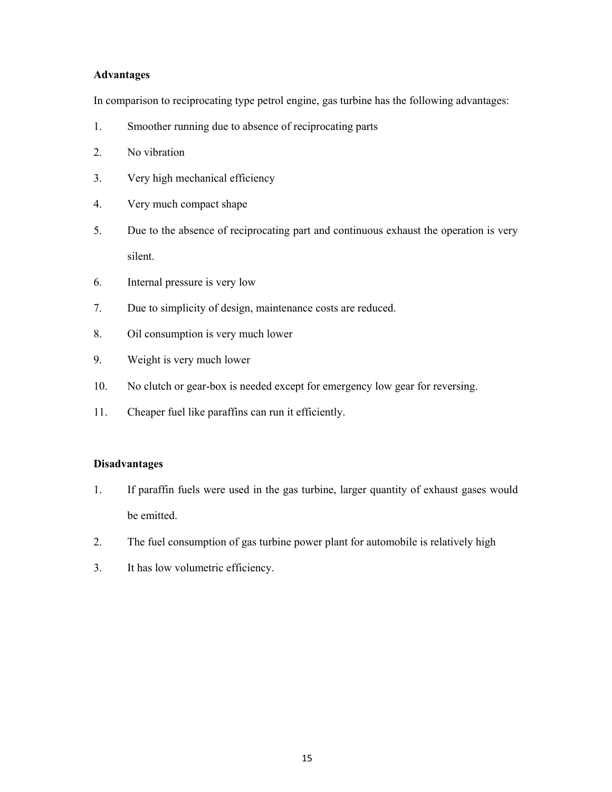# **Advantages**

In comparison to reciprocating type petrol engine, gas turbine has the following advantages:

- 1. Smoother running due to absence of reciprocating parts
- 2. No vibration
- 3. Very high mechanical efficiency
- 4. Very much compact shape
- 5. Due to the absence of reciprocating part and continuous exhaust the operation is very silent.
- 6. Internal pressure is very low
- 7. Due to simplicity of design, maintenance costs are reduced.
- 8. Oil consumption is very much lower
- 9. Weight is very much lower
- 10. No clutch or gear-box is needed except for emergency low gear for reversing.
- 11. Cheaper fuel like paraffins can run it efficiently.

# **Disadvantages**

- 1. If paraffin fuels were used in the gas turbine, larger quantity of exhaust gases would be emitted.
- 2. The fuel consumption of gas turbine power plant for automobile is relatively high
- 3. It has low volumetric efficiency.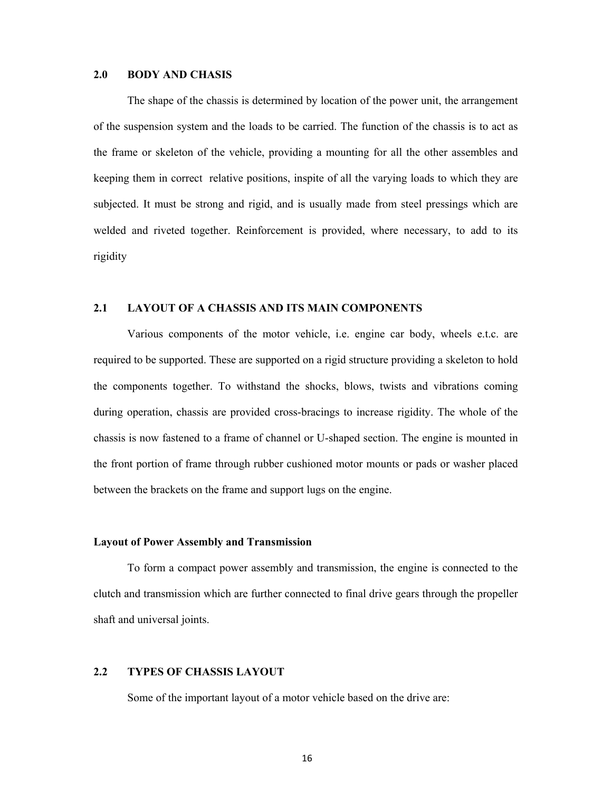## **2.0 BODY AND CHASIS**

 The shape of the chassis is determined by location of the power unit, the arrangement of the suspension system and the loads to be carried. The function of the chassis is to act as the frame or skeleton of the vehicle, providing a mounting for all the other assembles and keeping them in correct relative positions, inspite of all the varying loads to which they are subjected. It must be strong and rigid, and is usually made from steel pressings which are welded and riveted together. Reinforcement is provided, where necessary, to add to its rigidity

# **2.1 LAYOUT OF A CHASSIS AND ITS MAIN COMPONENTS**

 Various components of the motor vehicle, i.e. engine car body, wheels e.t.c. are required to be supported. These are supported on a rigid structure providing a skeleton to hold the components together. To withstand the shocks, blows, twists and vibrations coming during operation, chassis are provided cross-bracings to increase rigidity. The whole of the chassis is now fastened to a frame of channel or U-shaped section. The engine is mounted in the front portion of frame through rubber cushioned motor mounts or pads or washer placed between the brackets on the frame and support lugs on the engine.

#### **Layout of Power Assembly and Transmission**

 To form a compact power assembly and transmission, the engine is connected to the clutch and transmission which are further connected to final drive gears through the propeller shaft and universal joints.

# **2.2 TYPES OF CHASSIS LAYOUT**

Some of the important layout of a motor vehicle based on the drive are: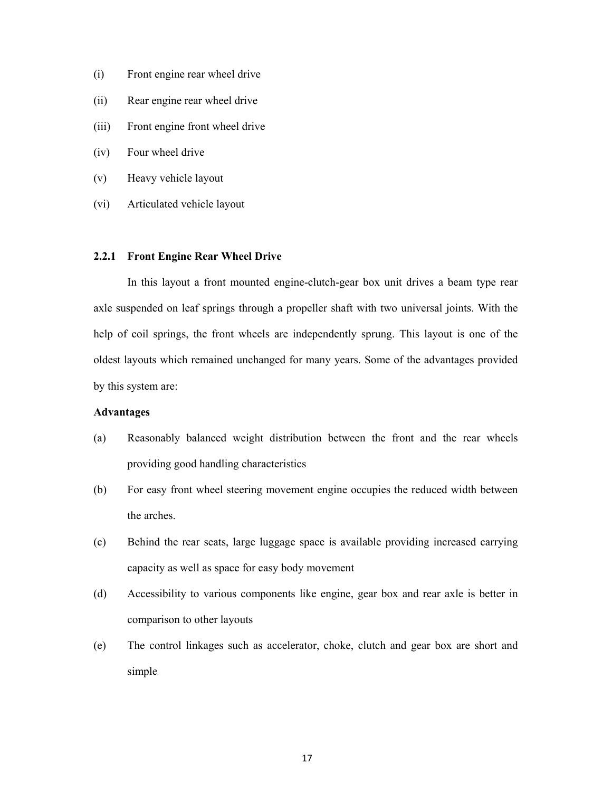- (i) Front engine rear wheel drive
- (ii) Rear engine rear wheel drive
- (iii) Front engine front wheel drive
- (iv) Four wheel drive
- (v) Heavy vehicle layout
- (vi) Articulated vehicle layout

#### **2.2.1 Front Engine Rear Wheel Drive**

In this layout a front mounted engine-clutch-gear box unit drives a beam type rear axle suspended on leaf springs through a propeller shaft with two universal joints. With the help of coil springs, the front wheels are independently sprung. This layout is one of the oldest layouts which remained unchanged for many years. Some of the advantages provided by this system are:

## **Advantages**

- (a) Reasonably balanced weight distribution between the front and the rear wheels providing good handling characteristics
- (b) For easy front wheel steering movement engine occupies the reduced width between the arches.
- (c) Behind the rear seats, large luggage space is available providing increased carrying capacity as well as space for easy body movement
- (d) Accessibility to various components like engine, gear box and rear axle is better in comparison to other layouts
- (e) The control linkages such as accelerator, choke, clutch and gear box are short and simple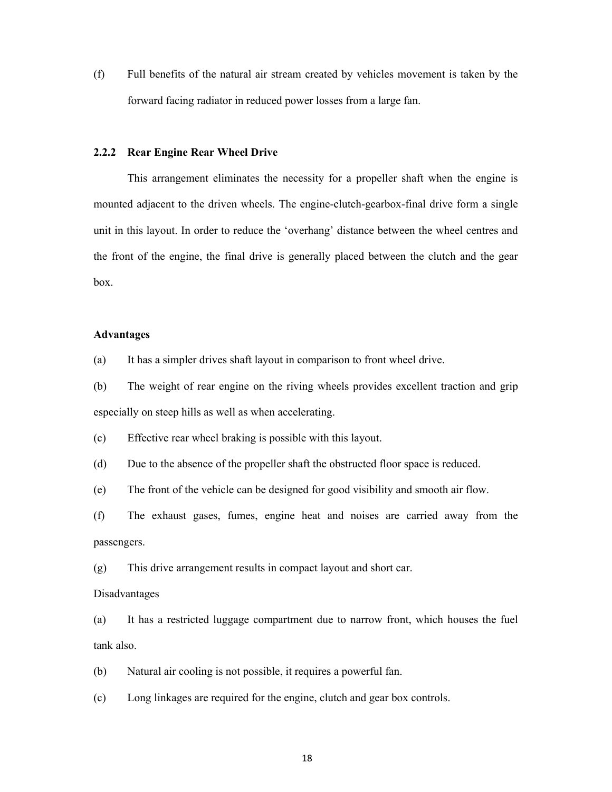(f) Full benefits of the natural air stream created by vehicles movement is taken by the forward facing radiator in reduced power losses from a large fan.

#### **2.2.2 Rear Engine Rear Wheel Drive**

This arrangement eliminates the necessity for a propeller shaft when the engine is mounted adjacent to the driven wheels. The engine-clutch-gearbox-final drive form a single unit in this layout. In order to reduce the 'overhang' distance between the wheel centres and the front of the engine, the final drive is generally placed between the clutch and the gear box.

#### **Advantages**

(a) It has a simpler drives shaft layout in comparison to front wheel drive.

(b) The weight of rear engine on the riving wheels provides excellent traction and grip especially on steep hills as well as when accelerating.

(c) Effective rear wheel braking is possible with this layout.

(d) Due to the absence of the propeller shaft the obstructed floor space is reduced.

(e) The front of the vehicle can be designed for good visibility and smooth air flow.

(f) The exhaust gases, fumes, engine heat and noises are carried away from the passengers.

(g) This drive arrangement results in compact layout and short car.

## Disadvantages

(a) It has a restricted luggage compartment due to narrow front, which houses the fuel tank also.

(b) Natural air cooling is not possible, it requires a powerful fan.

(c) Long linkages are required for the engine, clutch and gear box controls.

18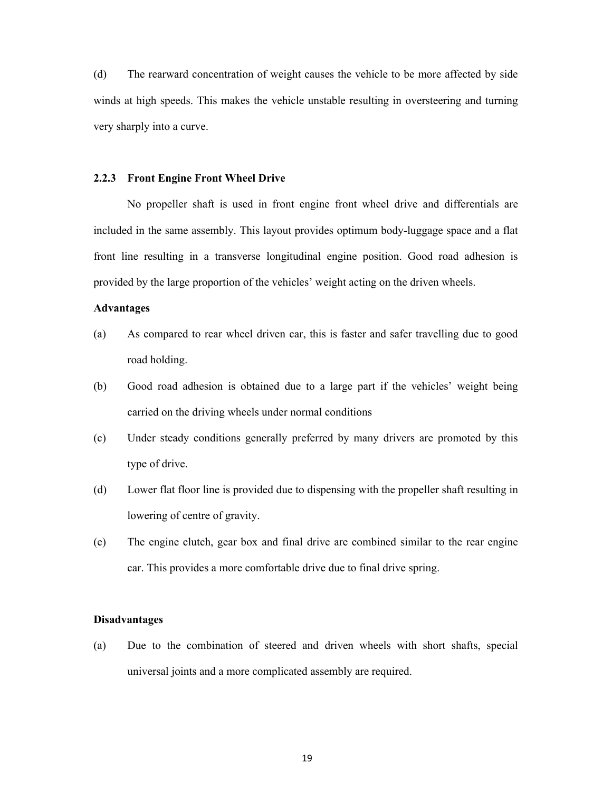(d) The rearward concentration of weight causes the vehicle to be more affected by side winds at high speeds. This makes the vehicle unstable resulting in oversteering and turning very sharply into a curve.

## **2.2.3 Front Engine Front Wheel Drive**

No propeller shaft is used in front engine front wheel drive and differentials are included in the same assembly. This layout provides optimum body-luggage space and a flat front line resulting in a transverse longitudinal engine position. Good road adhesion is provided by the large proportion of the vehicles' weight acting on the driven wheels.

## **Advantages**

- (a) As compared to rear wheel driven car, this is faster and safer travelling due to good road holding.
- (b) Good road adhesion is obtained due to a large part if the vehicles' weight being carried on the driving wheels under normal conditions
- (c) Under steady conditions generally preferred by many drivers are promoted by this type of drive.
- (d) Lower flat floor line is provided due to dispensing with the propeller shaft resulting in lowering of centre of gravity.
- (e) The engine clutch, gear box and final drive are combined similar to the rear engine car. This provides a more comfortable drive due to final drive spring.

#### **Disadvantages**

(a) Due to the combination of steered and driven wheels with short shafts, special universal joints and a more complicated assembly are required.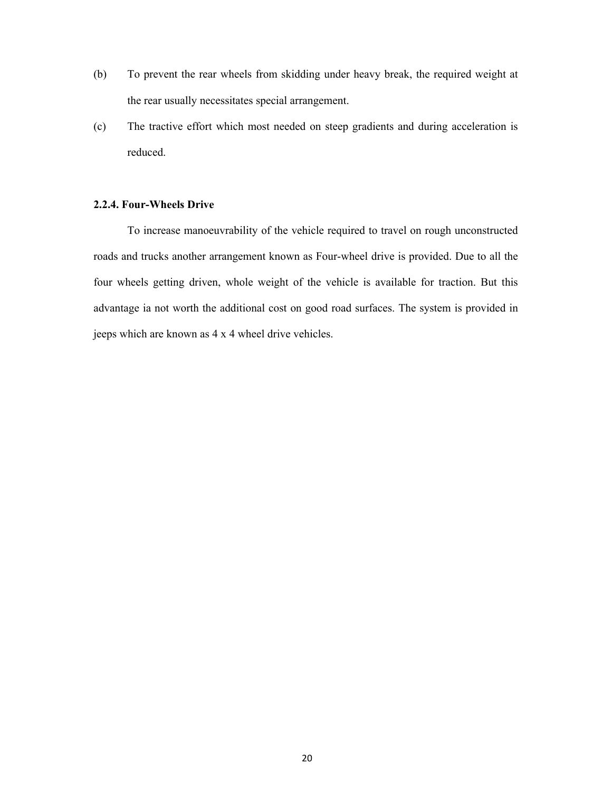- (b) To prevent the rear wheels from skidding under heavy break, the required weight at the rear usually necessitates special arrangement.
- (c) The tractive effort which most needed on steep gradients and during acceleration is reduced.

# **2.2.4. Four-Wheels Drive**

To increase manoeuvrability of the vehicle required to travel on rough unconstructed roads and trucks another arrangement known as Four-wheel drive is provided. Due to all the four wheels getting driven, whole weight of the vehicle is available for traction. But this advantage ia not worth the additional cost on good road surfaces. The system is provided in jeeps which are known as 4 x 4 wheel drive vehicles.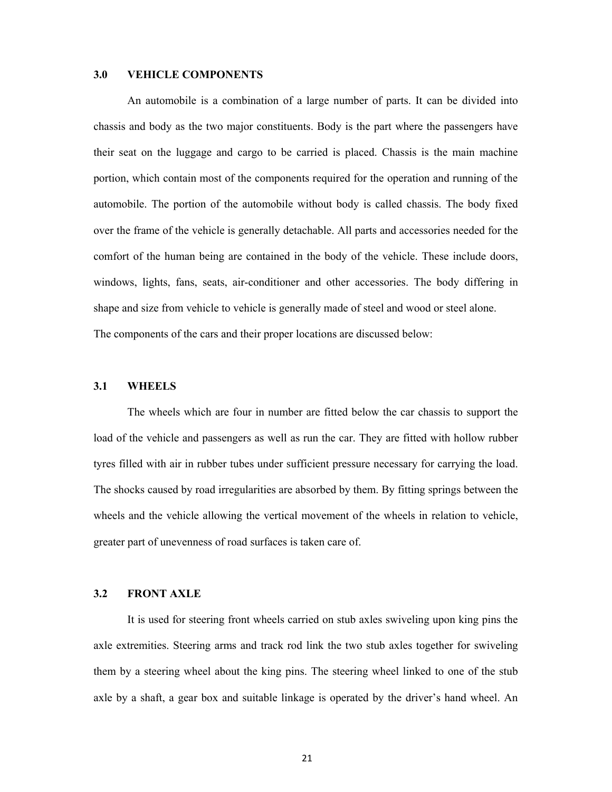#### **3.0 VEHICLE COMPONENTS**

An automobile is a combination of a large number of parts. It can be divided into chassis and body as the two major constituents. Body is the part where the passengers have their seat on the luggage and cargo to be carried is placed. Chassis is the main machine portion, which contain most of the components required for the operation and running of the automobile. The portion of the automobile without body is called chassis. The body fixed over the frame of the vehicle is generally detachable. All parts and accessories needed for the comfort of the human being are contained in the body of the vehicle. These include doors, windows, lights, fans, seats, air-conditioner and other accessories. The body differing in shape and size from vehicle to vehicle is generally made of steel and wood or steel alone. The components of the cars and their proper locations are discussed below:

## **3.1 WHEELS**

The wheels which are four in number are fitted below the car chassis to support the load of the vehicle and passengers as well as run the car. They are fitted with hollow rubber tyres filled with air in rubber tubes under sufficient pressure necessary for carrying the load. The shocks caused by road irregularities are absorbed by them. By fitting springs between the wheels and the vehicle allowing the vertical movement of the wheels in relation to vehicle, greater part of unevenness of road surfaces is taken care of.

# **3.2 FRONT AXLE**

It is used for steering front wheels carried on stub axles swiveling upon king pins the axle extremities. Steering arms and track rod link the two stub axles together for swiveling them by a steering wheel about the king pins. The steering wheel linked to one of the stub axle by a shaft, a gear box and suitable linkage is operated by the driver's hand wheel. An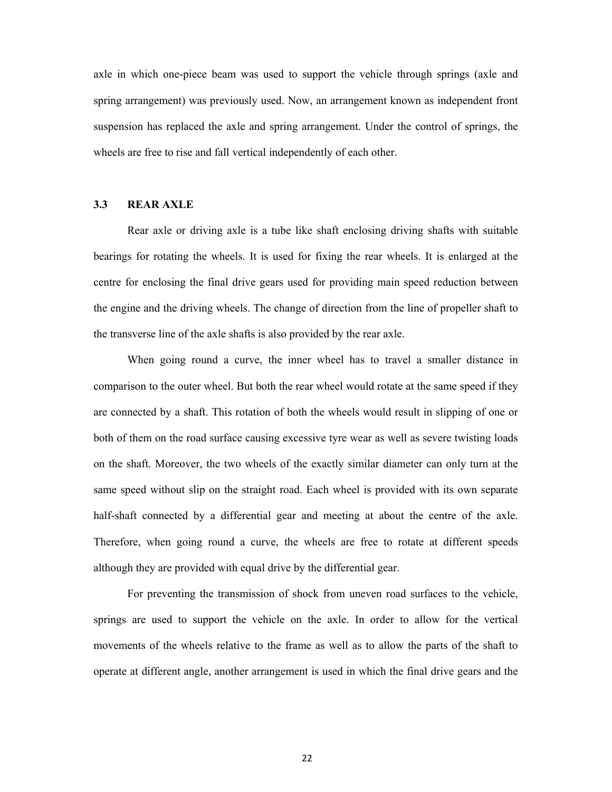axle in which one-piece beam was used to support the vehicle through springs (axle and spring arrangement) was previously used. Now, an arrangement known as independent front suspension has replaced the axle and spring arrangement. Under the control of springs, the wheels are free to rise and fall vertical independently of each other.

## **3.3 REAR AXLE**

Rear axle or driving axle is a tube like shaft enclosing driving shafts with suitable bearings for rotating the wheels. It is used for fixing the rear wheels. It is enlarged at the centre for enclosing the final drive gears used for providing main speed reduction between the engine and the driving wheels. The change of direction from the line of propeller shaft to the transverse line of the axle shafts is also provided by the rear axle.

When going round a curve, the inner wheel has to travel a smaller distance in comparison to the outer wheel. But both the rear wheel would rotate at the same speed if they are connected by a shaft. This rotation of both the wheels would result in slipping of one or both of them on the road surface causing excessive tyre wear as well as severe twisting loads on the shaft. Moreover, the two wheels of the exactly similar diameter can only turn at the same speed without slip on the straight road. Each wheel is provided with its own separate half-shaft connected by a differential gear and meeting at about the centre of the axle. Therefore, when going round a curve, the wheels are free to rotate at different speeds although they are provided with equal drive by the differential gear.

For preventing the transmission of shock from uneven road surfaces to the vehicle, springs are used to support the vehicle on the axle. In order to allow for the vertical movements of the wheels relative to the frame as well as to allow the parts of the shaft to operate at different angle, another arrangement is used in which the final drive gears and the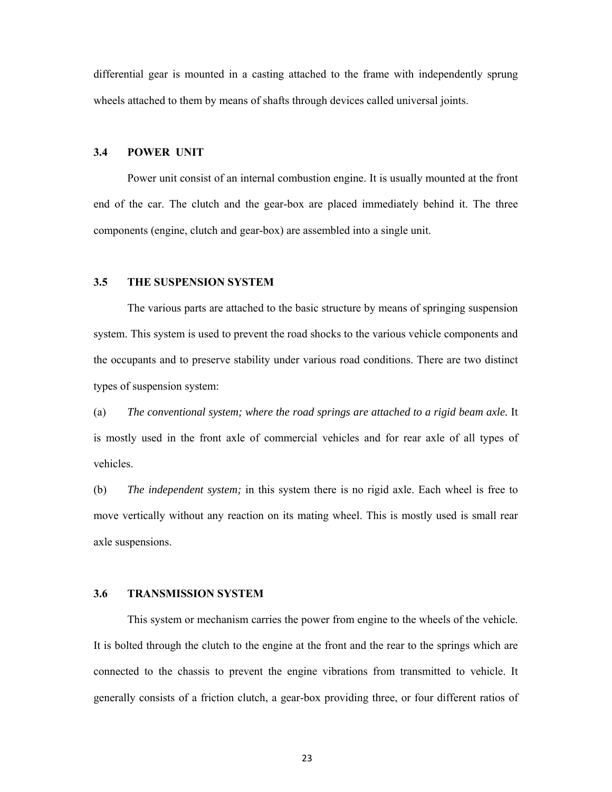differential gear is mounted in a casting attached to the frame with independently sprung wheels attached to them by means of shafts through devices called universal joints.

## **3.4 POWER UNIT**

Power unit consist of an internal combustion engine. It is usually mounted at the front end of the car. The clutch and the gear-box are placed immediately behind it. The three components (engine, clutch and gear-box) are assembled into a single unit.

## **3.5 THE SUSPENSION SYSTEM**

The various parts are attached to the basic structure by means of springing suspension system. This system is used to prevent the road shocks to the various vehicle components and the occupants and to preserve stability under various road conditions. There are two distinct types of suspension system:

(a) *The conventional system; where the road springs are attached to a rigid beam axle.* It is mostly used in the front axle of commercial vehicles and for rear axle of all types of vehicles.

(b) *The independent system;* in this system there is no rigid axle. Each wheel is free to move vertically without any reaction on its mating wheel. This is mostly used is small rear axle suspensions.

# **3.6 TRANSMISSION SYSTEM**

This system or mechanism carries the power from engine to the wheels of the vehicle. It is bolted through the clutch to the engine at the front and the rear to the springs which are connected to the chassis to prevent the engine vibrations from transmitted to vehicle. It generally consists of a friction clutch, a gear-box providing three, or four different ratios of

23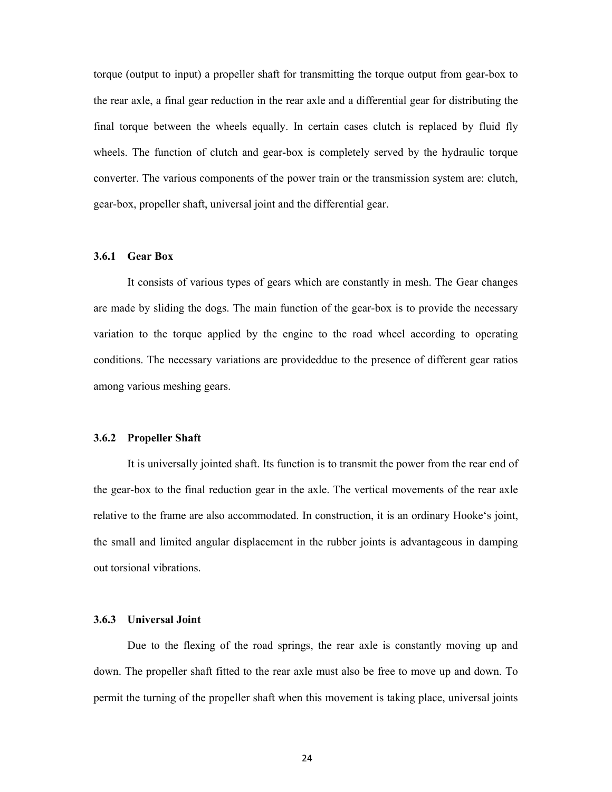torque (output to input) a propeller shaft for transmitting the torque output from gear-box to the rear axle, a final gear reduction in the rear axle and a differential gear for distributing the final torque between the wheels equally. In certain cases clutch is replaced by fluid fly wheels. The function of clutch and gear-box is completely served by the hydraulic torque converter. The various components of the power train or the transmission system are: clutch, gear-box, propeller shaft, universal joint and the differential gear.

#### **3.6.1 Gear Box**

It consists of various types of gears which are constantly in mesh. The Gear changes are made by sliding the dogs. The main function of the gear-box is to provide the necessary variation to the torque applied by the engine to the road wheel according to operating conditions. The necessary variations are provideddue to the presence of different gear ratios among various meshing gears.

#### **3.6.2 Propeller Shaft**

It is universally jointed shaft. Its function is to transmit the power from the rear end of the gear-box to the final reduction gear in the axle. The vertical movements of the rear axle relative to the frame are also accommodated. In construction, it is an ordinary Hooke's joint, the small and limited angular displacement in the rubber joints is advantageous in damping out torsional vibrations.

## **3.6.3 Universal Joint**

Due to the flexing of the road springs, the rear axle is constantly moving up and down. The propeller shaft fitted to the rear axle must also be free to move up and down. To permit the turning of the propeller shaft when this movement is taking place, universal joints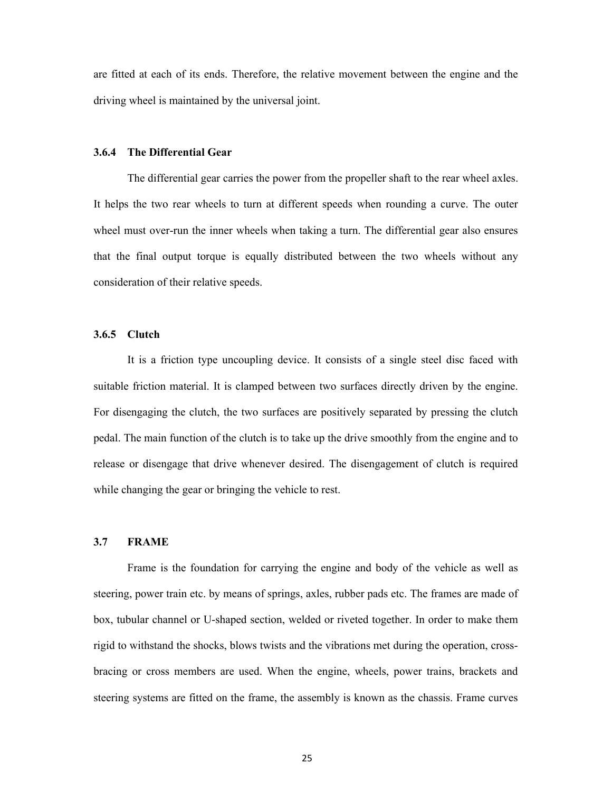are fitted at each of its ends. Therefore, the relative movement between the engine and the driving wheel is maintained by the universal joint.

## **3.6.4 The Differential Gear**

The differential gear carries the power from the propeller shaft to the rear wheel axles. It helps the two rear wheels to turn at different speeds when rounding a curve. The outer wheel must over-run the inner wheels when taking a turn. The differential gear also ensures that the final output torque is equally distributed between the two wheels without any consideration of their relative speeds.

#### **3.6.5 Clutch**

It is a friction type uncoupling device. It consists of a single steel disc faced with suitable friction material. It is clamped between two surfaces directly driven by the engine. For disengaging the clutch, the two surfaces are positively separated by pressing the clutch pedal. The main function of the clutch is to take up the drive smoothly from the engine and to release or disengage that drive whenever desired. The disengagement of clutch is required while changing the gear or bringing the vehicle to rest.

#### **3.7 FRAME**

Frame is the foundation for carrying the engine and body of the vehicle as well as steering, power train etc. by means of springs, axles, rubber pads etc. The frames are made of box, tubular channel or U-shaped section, welded or riveted together. In order to make them rigid to withstand the shocks, blows twists and the vibrations met during the operation, crossbracing or cross members are used. When the engine, wheels, power trains, brackets and steering systems are fitted on the frame, the assembly is known as the chassis. Frame curves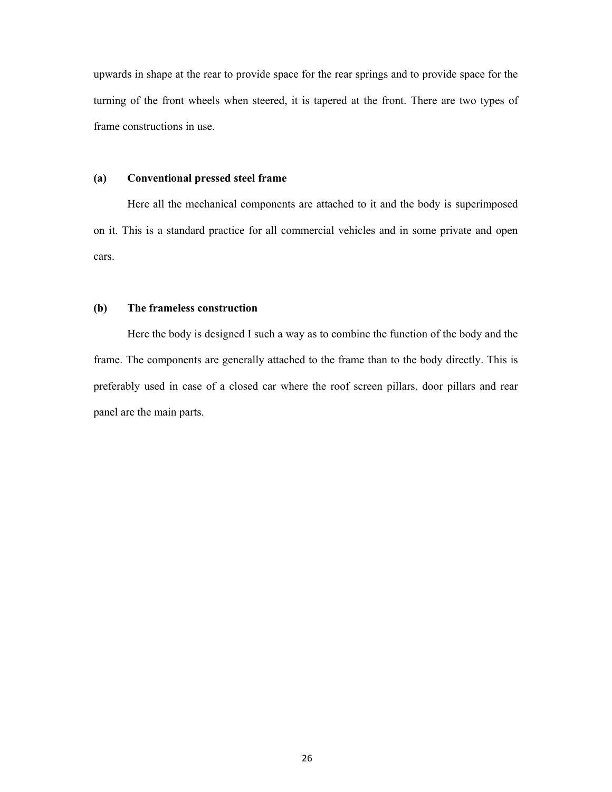upwards in shape at the rear to provide space for the rear springs and to provide space for the turning of the front wheels when steered, it is tapered at the front. There are two types of frame constructions in use.

## **(a) Conventional pressed steel frame**

Here all the mechanical components are attached to it and the body is superimposed on it. This is a standard practice for all commercial vehicles and in some private and open cars.

# **(b) The frameless construction**

Here the body is designed I such a way as to combine the function of the body and the frame. The components are generally attached to the frame than to the body directly. This is preferably used in case of a closed car where the roof screen pillars, door pillars and rear panel are the main parts.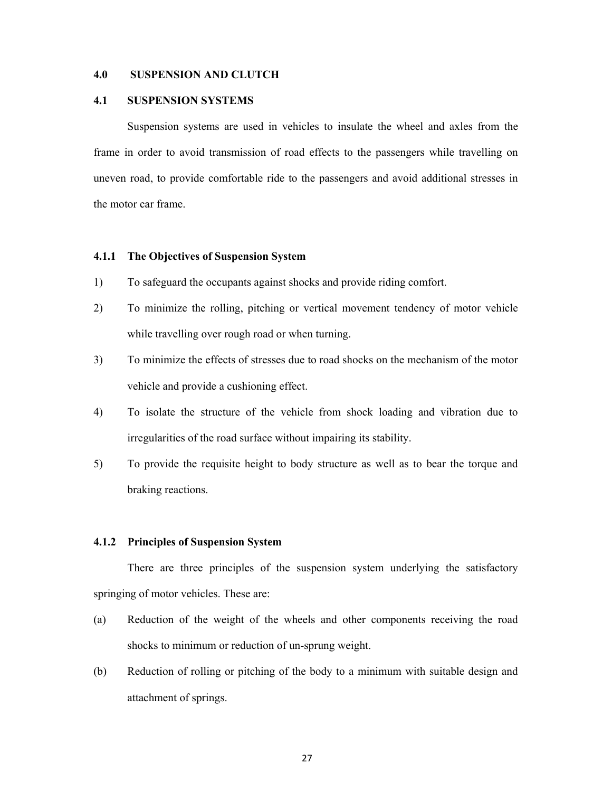## **4.0 SUSPENSION AND CLUTCH**

### **4.1 SUSPENSION SYSTEMS**

Suspension systems are used in vehicles to insulate the wheel and axles from the frame in order to avoid transmission of road effects to the passengers while travelling on uneven road, to provide comfortable ride to the passengers and avoid additional stresses in the motor car frame.

## **4.1.1 The Objectives of Suspension System**

- 1) To safeguard the occupants against shocks and provide riding comfort.
- 2) To minimize the rolling, pitching or vertical movement tendency of motor vehicle while travelling over rough road or when turning.
- 3) To minimize the effects of stresses due to road shocks on the mechanism of the motor vehicle and provide a cushioning effect.
- 4) To isolate the structure of the vehicle from shock loading and vibration due to irregularities of the road surface without impairing its stability.
- 5) To provide the requisite height to body structure as well as to bear the torque and braking reactions.

#### **4.1.2 Principles of Suspension System**

There are three principles of the suspension system underlying the satisfactory springing of motor vehicles. These are:

- (a) Reduction of the weight of the wheels and other components receiving the road shocks to minimum or reduction of un-sprung weight.
- (b) Reduction of rolling or pitching of the body to a minimum with suitable design and attachment of springs.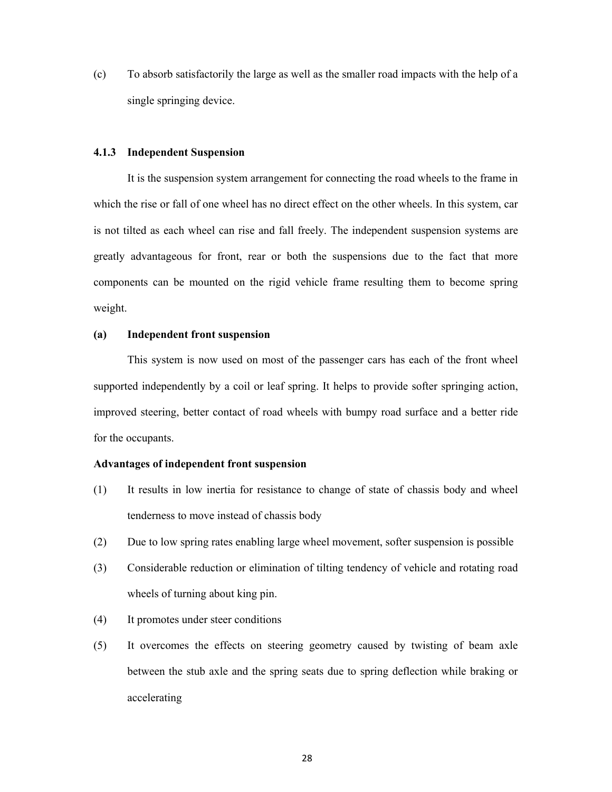(c) To absorb satisfactorily the large as well as the smaller road impacts with the help of a single springing device.

#### **4.1.3 Independent Suspension**

It is the suspension system arrangement for connecting the road wheels to the frame in which the rise or fall of one wheel has no direct effect on the other wheels. In this system, car is not tilted as each wheel can rise and fall freely. The independent suspension systems are greatly advantageous for front, rear or both the suspensions due to the fact that more components can be mounted on the rigid vehicle frame resulting them to become spring weight.

#### **(a) Independent front suspension**

This system is now used on most of the passenger cars has each of the front wheel supported independently by a coil or leaf spring. It helps to provide softer springing action, improved steering, better contact of road wheels with bumpy road surface and a better ride for the occupants.

#### **Advantages of independent front suspension**

- (1) It results in low inertia for resistance to change of state of chassis body and wheel tenderness to move instead of chassis body
- (2) Due to low spring rates enabling large wheel movement, softer suspension is possible
- (3) Considerable reduction or elimination of tilting tendency of vehicle and rotating road wheels of turning about king pin.
- (4) It promotes under steer conditions
- (5) It overcomes the effects on steering geometry caused by twisting of beam axle between the stub axle and the spring seats due to spring deflection while braking or accelerating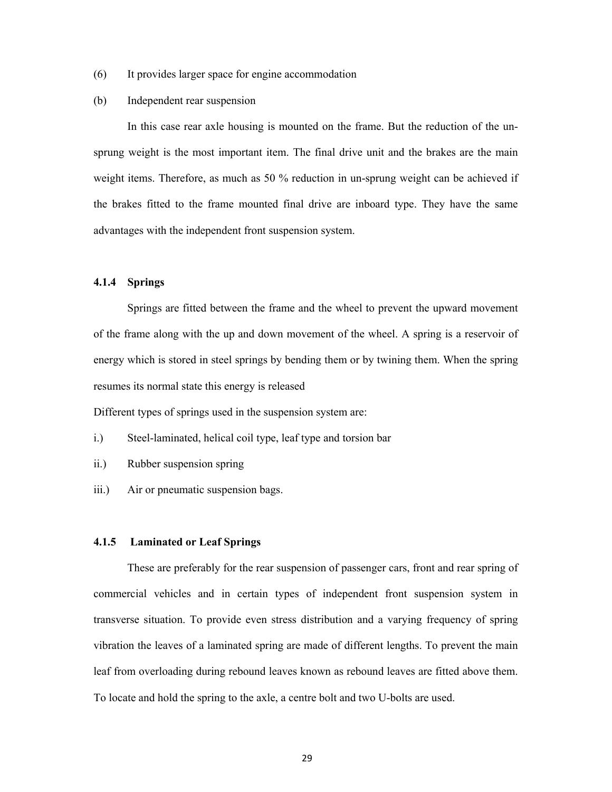- (6) It provides larger space for engine accommodation
- (b) Independent rear suspension

In this case rear axle housing is mounted on the frame. But the reduction of the unsprung weight is the most important item. The final drive unit and the brakes are the main weight items. Therefore, as much as 50 % reduction in un-sprung weight can be achieved if the brakes fitted to the frame mounted final drive are inboard type. They have the same advantages with the independent front suspension system.

#### **4.1.4 Springs**

 Springs are fitted between the frame and the wheel to prevent the upward movement of the frame along with the up and down movement of the wheel. A spring is a reservoir of energy which is stored in steel springs by bending them or by twining them. When the spring resumes its normal state this energy is released

Different types of springs used in the suspension system are:

- i.) Steel-laminated, helical coil type, leaf type and torsion bar
- ii.) Rubber suspension spring
- iii.) Air or pneumatic suspension bags.

#### **4.1.5 Laminated or Leaf Springs**

 These are preferably for the rear suspension of passenger cars, front and rear spring of commercial vehicles and in certain types of independent front suspension system in transverse situation. To provide even stress distribution and a varying frequency of spring vibration the leaves of a laminated spring are made of different lengths. To prevent the main leaf from overloading during rebound leaves known as rebound leaves are fitted above them. To locate and hold the spring to the axle, a centre bolt and two U-bolts are used.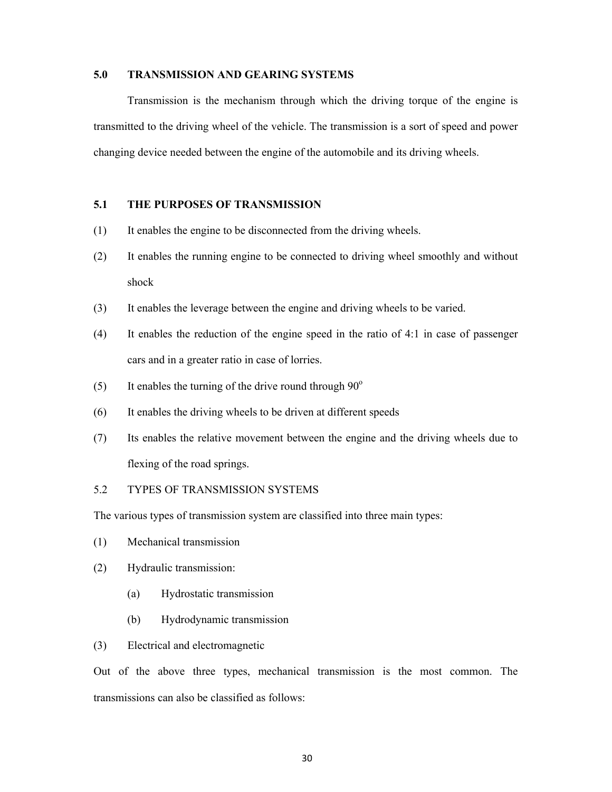## **5.0 TRANSMISSION AND GEARING SYSTEMS**

Transmission is the mechanism through which the driving torque of the engine is transmitted to the driving wheel of the vehicle. The transmission is a sort of speed and power changing device needed between the engine of the automobile and its driving wheels.

# **5.1 THE PURPOSES OF TRANSMISSION**

- (1) It enables the engine to be disconnected from the driving wheels.
- (2) It enables the running engine to be connected to driving wheel smoothly and without shock
- (3) It enables the leverage between the engine and driving wheels to be varied.
- (4) It enables the reduction of the engine speed in the ratio of 4:1 in case of passenger cars and in a greater ratio in case of lorries.
- (5) It enables the turning of the drive round through  $90^\circ$
- (6) It enables the driving wheels to be driven at different speeds
- (7) Its enables the relative movement between the engine and the driving wheels due to flexing of the road springs.
- 5.2 TYPES OF TRANSMISSION SYSTEMS

The various types of transmission system are classified into three main types:

- (1) Mechanical transmission
- (2) Hydraulic transmission:
	- (a) Hydrostatic transmission
	- (b) Hydrodynamic transmission
- (3) Electrical and electromagnetic

Out of the above three types, mechanical transmission is the most common. The transmissions can also be classified as follows: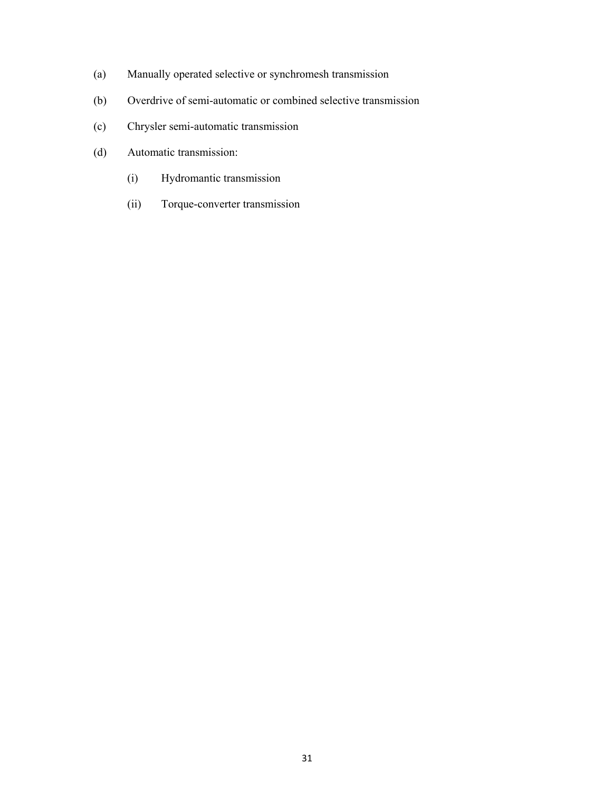- (a) Manually operated selective or synchromesh transmission
- (b) Overdrive of semi-automatic or combined selective transmission
- (c) Chrysler semi-automatic transmission
- (d) Automatic transmission:
	- (i) Hydromantic transmission
	- (ii) Torque-converter transmission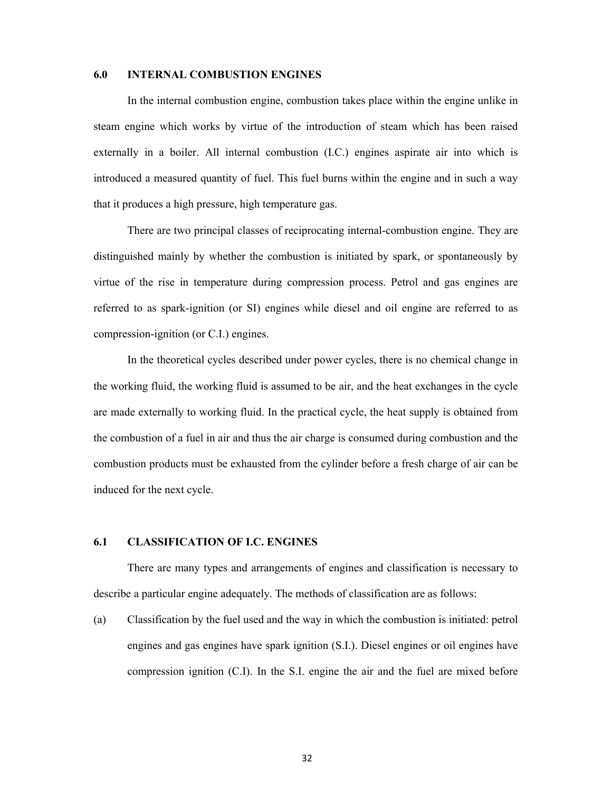#### **6.0 INTERNAL COMBUSTION ENGINES**

In the internal combustion engine, combustion takes place within the engine unlike in steam engine which works by virtue of the introduction of steam which has been raised externally in a boiler. All internal combustion (I.C.) engines aspirate air into which is introduced a measured quantity of fuel. This fuel burns within the engine and in such a way that it produces a high pressure, high temperature gas.

There are two principal classes of reciprocating internal-combustion engine. They are distinguished mainly by whether the combustion is initiated by spark, or spontaneously by virtue of the rise in temperature during compression process. Petrol and gas engines are referred to as spark-ignition (or SI) engines while diesel and oil engine are referred to as compression-ignition (or C.I.) engines.

In the theoretical cycles described under power cycles, there is no chemical change in the working fluid, the working fluid is assumed to be air, and the heat exchanges in the cycle are made externally to working fluid. In the practical cycle, the heat supply is obtained from the combustion of a fuel in air and thus the air charge is consumed during combustion and the combustion products must be exhausted from the cylinder before a fresh charge of air can be induced for the next cycle.

## **6.1 CLASSIFICATION OF I.C. ENGINES**

There are many types and arrangements of engines and classification is necessary to describe a particular engine adequately. The methods of classification are as follows:

(a) Classification by the fuel used and the way in which the combustion is initiated: petrol engines and gas engines have spark ignition (S.I.). Diesel engines or oil engines have compression ignition (C.I). In the S.I. engine the air and the fuel are mixed before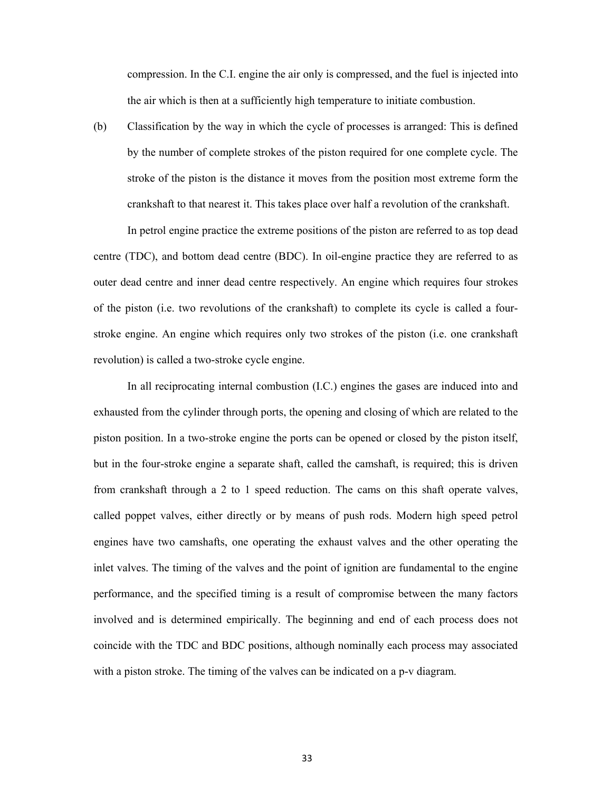compression. In the C.I. engine the air only is compressed, and the fuel is injected into the air which is then at a sufficiently high temperature to initiate combustion.

(b) Classification by the way in which the cycle of processes is arranged: This is defined by the number of complete strokes of the piston required for one complete cycle. The stroke of the piston is the distance it moves from the position most extreme form the crankshaft to that nearest it. This takes place over half a revolution of the crankshaft.

In petrol engine practice the extreme positions of the piston are referred to as top dead centre (TDC), and bottom dead centre (BDC). In oil-engine practice they are referred to as outer dead centre and inner dead centre respectively. An engine which requires four strokes of the piston (i.e. two revolutions of the crankshaft) to complete its cycle is called a fourstroke engine. An engine which requires only two strokes of the piston (i.e. one crankshaft revolution) is called a two-stroke cycle engine.

In all reciprocating internal combustion (I.C.) engines the gases are induced into and exhausted from the cylinder through ports, the opening and closing of which are related to the piston position. In a two-stroke engine the ports can be opened or closed by the piston itself, but in the four-stroke engine a separate shaft, called the camshaft, is required; this is driven from crankshaft through a 2 to 1 speed reduction. The cams on this shaft operate valves, called poppet valves, either directly or by means of push rods. Modern high speed petrol engines have two camshafts, one operating the exhaust valves and the other operating the inlet valves. The timing of the valves and the point of ignition are fundamental to the engine performance, and the specified timing is a result of compromise between the many factors involved and is determined empirically. The beginning and end of each process does not coincide with the TDC and BDC positions, although nominally each process may associated with a piston stroke. The timing of the valves can be indicated on a p-v diagram.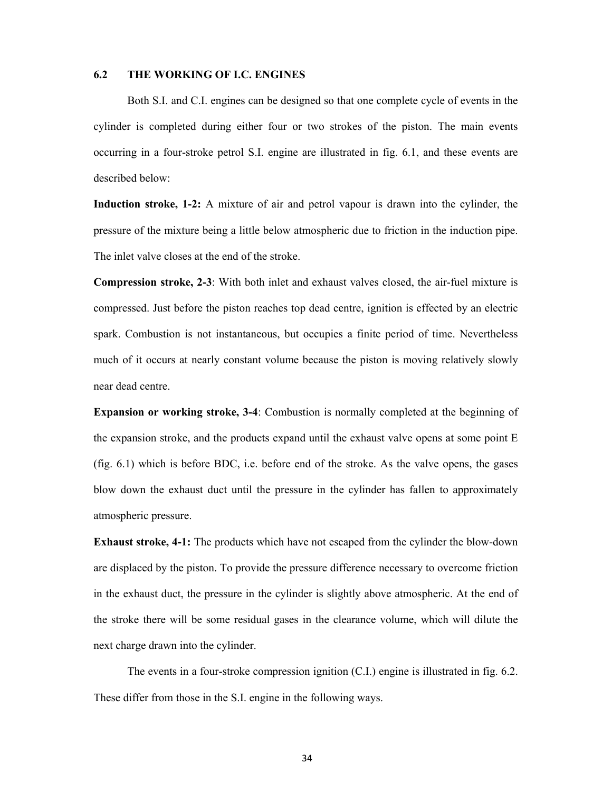## **6.2 THE WORKING OF I.C. ENGINES**

Both S.I. and C.I. engines can be designed so that one complete cycle of events in the cylinder is completed during either four or two strokes of the piston. The main events occurring in a four-stroke petrol S.I. engine are illustrated in fig. 6.1, and these events are described below:

**Induction stroke, 1-2:** A mixture of air and petrol vapour is drawn into the cylinder, the pressure of the mixture being a little below atmospheric due to friction in the induction pipe. The inlet valve closes at the end of the stroke.

**Compression stroke, 2-3**: With both inlet and exhaust valves closed, the air-fuel mixture is compressed. Just before the piston reaches top dead centre, ignition is effected by an electric spark. Combustion is not instantaneous, but occupies a finite period of time. Nevertheless much of it occurs at nearly constant volume because the piston is moving relatively slowly near dead centre.

**Expansion or working stroke, 3-4**: Combustion is normally completed at the beginning of the expansion stroke, and the products expand until the exhaust valve opens at some point E (fig. 6.1) which is before BDC, i.e. before end of the stroke. As the valve opens, the gases blow down the exhaust duct until the pressure in the cylinder has fallen to approximately atmospheric pressure.

**Exhaust stroke, 4-1:** The products which have not escaped from the cylinder the blow-down are displaced by the piston. To provide the pressure difference necessary to overcome friction in the exhaust duct, the pressure in the cylinder is slightly above atmospheric. At the end of the stroke there will be some residual gases in the clearance volume, which will dilute the next charge drawn into the cylinder.

The events in a four-stroke compression ignition (C.I.) engine is illustrated in fig. 6.2. These differ from those in the S.I. engine in the following ways.

34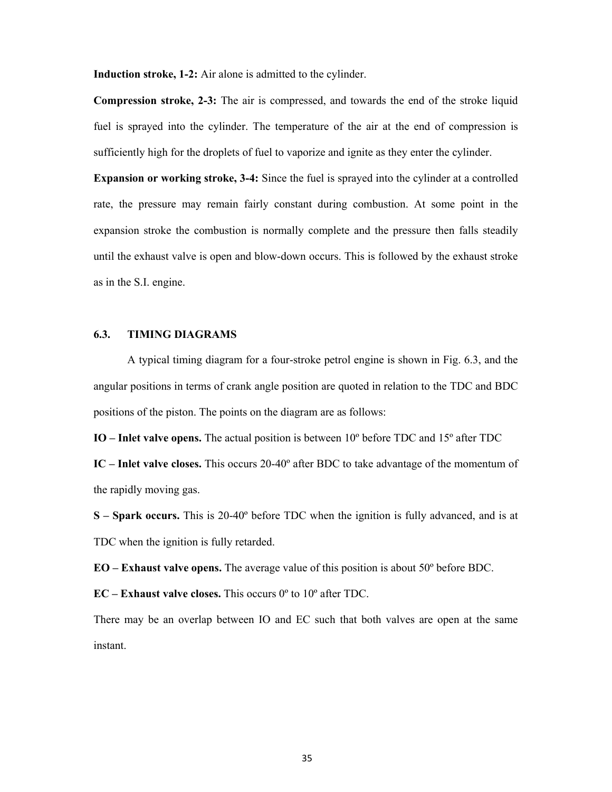**Induction stroke, 1-2:** Air alone is admitted to the cylinder.

**Compression stroke, 2-3:** The air is compressed, and towards the end of the stroke liquid fuel is sprayed into the cylinder. The temperature of the air at the end of compression is sufficiently high for the droplets of fuel to vaporize and ignite as they enter the cylinder.

**Expansion or working stroke, 3-4:** Since the fuel is sprayed into the cylinder at a controlled rate, the pressure may remain fairly constant during combustion. At some point in the expansion stroke the combustion is normally complete and the pressure then falls steadily until the exhaust valve is open and blow-down occurs. This is followed by the exhaust stroke as in the S.I. engine.

## **6.3. TIMING DIAGRAMS**

A typical timing diagram for a four-stroke petrol engine is shown in Fig. 6.3, and the angular positions in terms of crank angle position are quoted in relation to the TDC and BDC positions of the piston. The points on the diagram are as follows:

**IO – Inlet valve opens.** The actual position is between 10º before TDC and 15º after TDC

**IC – Inlet valve closes.** This occurs 20-40º after BDC to take advantage of the momentum of the rapidly moving gas.

**S – Spark occurs.** This is 20-40º before TDC when the ignition is fully advanced, and is at TDC when the ignition is fully retarded.

**EO – Exhaust valve opens.** The average value of this position is about 50º before BDC.

**EC – Exhaust valve closes.** This occurs 0º to 10º after TDC.

There may be an overlap between IO and EC such that both valves are open at the same instant.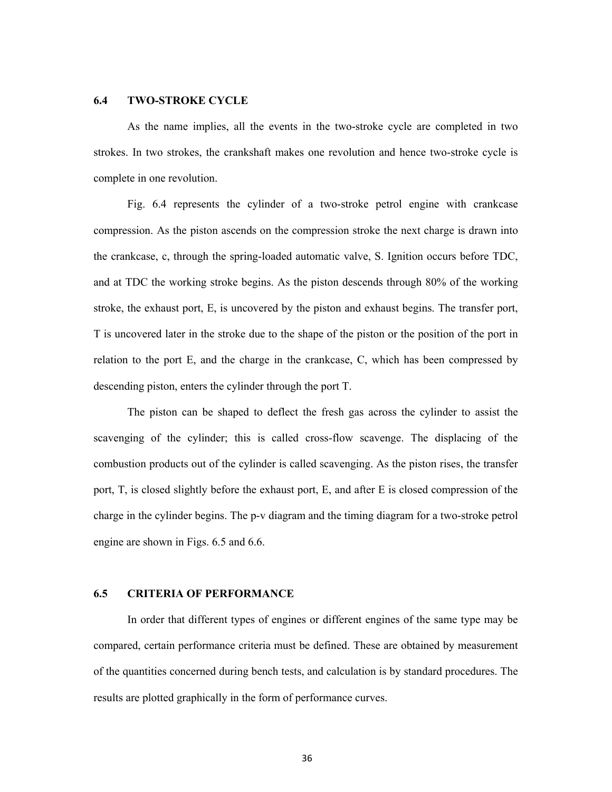## **6.4 TWO-STROKE CYCLE**

As the name implies, all the events in the two-stroke cycle are completed in two strokes. In two strokes, the crankshaft makes one revolution and hence two-stroke cycle is complete in one revolution.

Fig. 6.4 represents the cylinder of a two-stroke petrol engine with crankcase compression. As the piston ascends on the compression stroke the next charge is drawn into the crankcase, c, through the spring-loaded automatic valve, S. Ignition occurs before TDC, and at TDC the working stroke begins. As the piston descends through 80% of the working stroke, the exhaust port, E, is uncovered by the piston and exhaust begins. The transfer port, T is uncovered later in the stroke due to the shape of the piston or the position of the port in relation to the port E, and the charge in the crankcase, C, which has been compressed by descending piston, enters the cylinder through the port T.

The piston can be shaped to deflect the fresh gas across the cylinder to assist the scavenging of the cylinder; this is called cross-flow scavenge. The displacing of the combustion products out of the cylinder is called scavenging. As the piston rises, the transfer port, T, is closed slightly before the exhaust port, E, and after E is closed compression of the charge in the cylinder begins. The p-v diagram and the timing diagram for a two-stroke petrol engine are shown in Figs. 6.5 and 6.6.

# **6.5 CRITERIA OF PERFORMANCE**

In order that different types of engines or different engines of the same type may be compared, certain performance criteria must be defined. These are obtained by measurement of the quantities concerned during bench tests, and calculation is by standard procedures. The results are plotted graphically in the form of performance curves.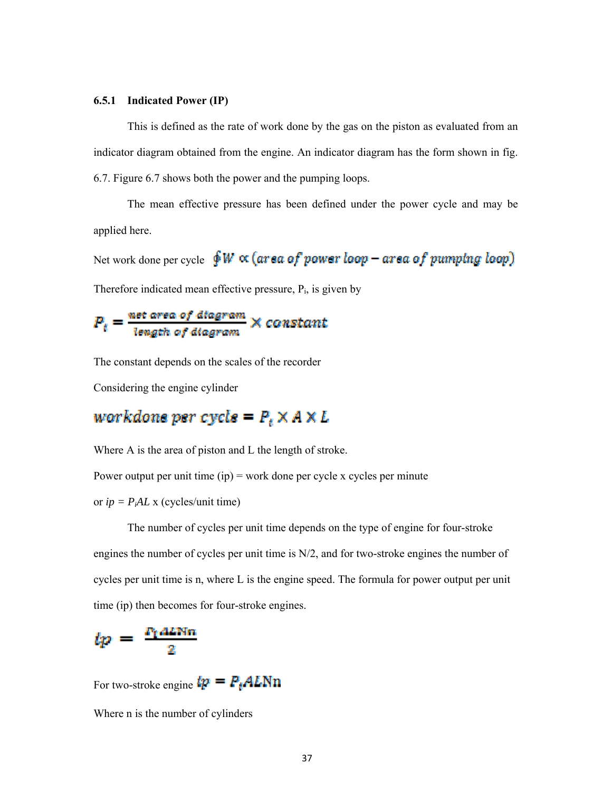#### **6.5.1 Indicated Power (IP)**

This is defined as the rate of work done by the gas on the piston as evaluated from an indicator diagram obtained from the engine. An indicator diagram has the form shown in fig. 6.7. Figure 6.7 shows both the power and the pumping loops.

The mean effective pressure has been defined under the power cycle and may be applied here.

Net work done per cycle  $\oint W \propto (area of power loop - area of pumping loop)$ Therefore indicated mean effective pressure,  $P_i$ , is given by

$$
P_t = \frac{\text{net area of diagram}}{\text{length of diagram}} \times \text{constant}
$$

The constant depends on the scales of the recorder

Considering the engine cylinder

# workdone per cycle =  $P_t \times A \times L$

Where A is the area of piston and L the length of stroke.

Power output per unit time  $(ip)$  = work done per cycle x cycles per minute

or  $ip = P<sub>i</sub>AL$  x (cycles/unit time)

The number of cycles per unit time depends on the type of engine for four-stroke engines the number of cycles per unit time is N/2, and for two-stroke engines the number of cycles per unit time is n, where L is the engine speed. The formula for power output per unit time (ip) then becomes for four-stroke engines.

$$
tp = \frac{P_1 A L N n}{2}
$$

For two-stroke engine  $tp = P_t A L N n$ 

Where n is the number of cylinders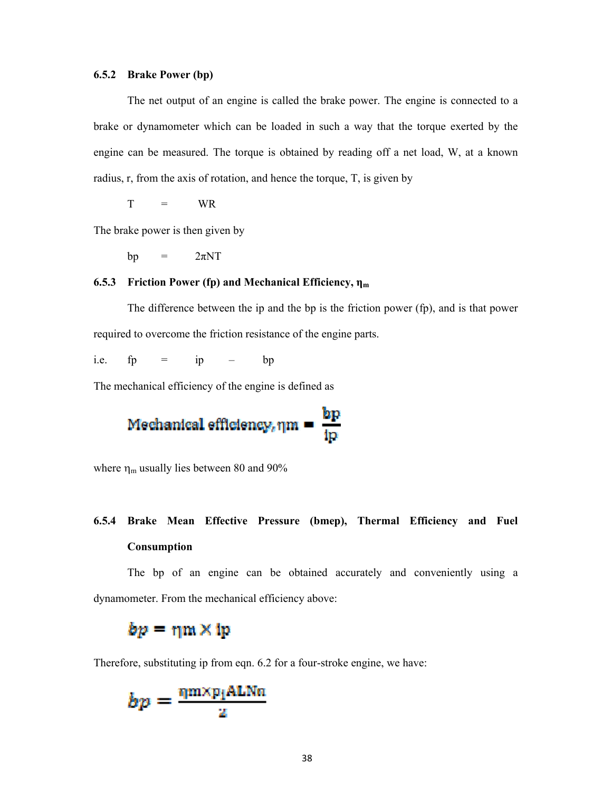#### **6.5.2 Brake Power (bp)**

The net output of an engine is called the brake power. The engine is connected to a brake or dynamometer which can be loaded in such a way that the torque exerted by the engine can be measured. The torque is obtained by reading off a net load, W, at a known radius, r, from the axis of rotation, and hence the torque, T, is given by

 $T = WR$ 

The brake power is then given by

bp =  $2\pi NT$ 

# **6.5.3 Friction Power (fp) and Mechanical Efficiency, η<sup>m</sup>**

The difference between the ip and the bp is the friction power (fp), and is that power required to overcome the friction resistance of the engine parts.

a.

i.e. fp  $=$  ip  $-$  bp

The mechanical efficiency of the engine is defined as

Mechanical efficiency, 
$$
q_m = \frac{bp}{ip}
$$

where  $\eta_m$  usually lies between 80 and 90%

# **6.5.4 Brake Mean Effective Pressure (bmep), Thermal Efficiency and Fuel Consumption**

The bp of an engine can be obtained accurately and conveniently using a dynamometer. From the mechanical efficiency above:

# $bp = \eta m \times \eta p$

Therefore, substituting ip from eqn. 6.2 for a four-stroke engine, we have:

$$
bp = \tfrac{\eta \text{m} \times \text{p}_1 \text{ALN} n}{2}
$$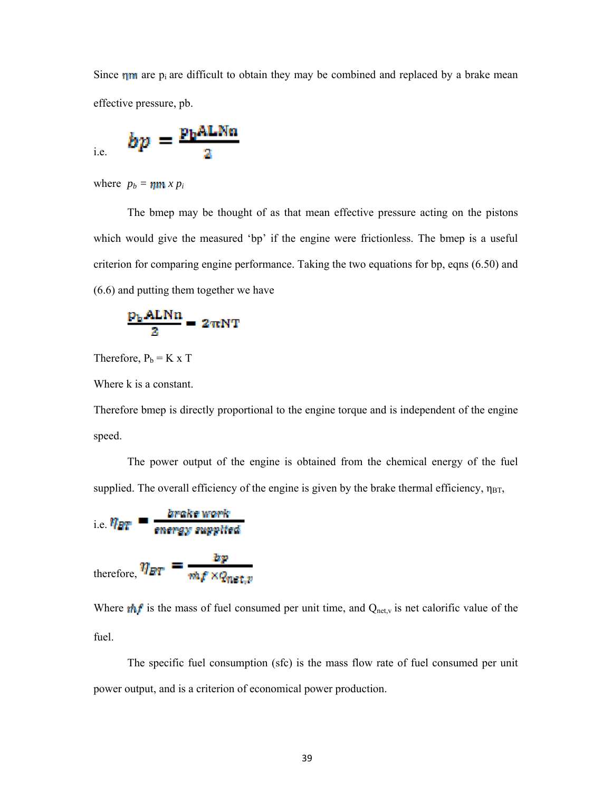Since  $\eta$ m are  $p_i$  are difficult to obtain they may be combined and replaced by a brake mean effective pressure, pb.

$$
bp = \frac{p_b A L N a}{2}
$$

where  $p_b = \eta m x p_i$ 

The bmep may be thought of as that mean effective pressure acting on the pistons which would give the measured 'bp' if the engine were frictionless. The bmep is a useful criterion for comparing engine performance. Taking the two equations for bp, eqns (6.50) and (6.6) and putting them together we have

$$
\frac{p_b A L N n}{2} = 2 \pi N T
$$

Therefore,  $P_b = K \times T$ 

Where k is a constant.

Therefore bmep is directly proportional to the engine torque and is independent of the engine speed.

The power output of the engine is obtained from the chemical energy of the fuel supplied. The overall efficiency of the engine is given by the brake thermal efficiency,  $\eta_{BT}$ ,

i.e. 
$$
\eta_{BT} = \frac{h_{Tak} + h_{Tak} + h_{Tak} + h_{Tak}}{energy supplied}
$$

therefore,  $\eta_{BT} = \frac{bp}{m f \times q_{mxt,n}}$ 

Where  $\mathbf{w}$  is the mass of fuel consumed per unit time, and  $Q_{\text{net},v}$  is net calorific value of the fuel.

The specific fuel consumption (sfc) is the mass flow rate of fuel consumed per unit power output, and is a criterion of economical power production.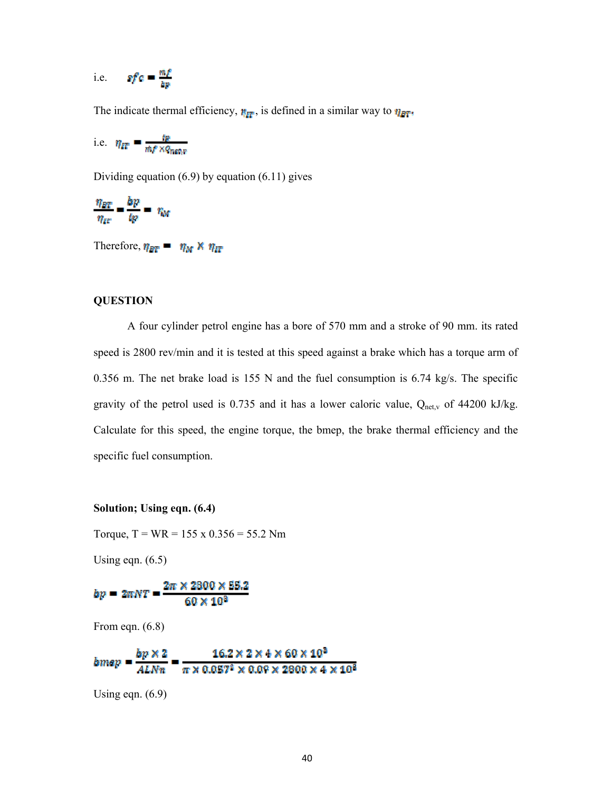i.e. 
$$
sfc = \frac{mI}{bp}
$$

The indicate thermal efficiency,  $\eta_{\text{HT}}$ , is defined in a similar way to  $\eta_{\text{HT}}$ .

i.e. 
$$
\eta_{IT} = \frac{tp}{\frac{np}{\frac{np}{n}} \times \rho_{\text{new}}}
$$

Dividing equation  $(6.9)$  by equation  $(6.11)$  gives

$$
\frac{\eta_{BT}}{\eta_{F'}}-\frac{bp}{tp}=\eta_M
$$

Therefore,  $\eta_{BT} = \eta_M \times \eta_{IT}$ 

# **QUESTION**

A four cylinder petrol engine has a bore of 570 mm and a stroke of 90 mm. its rated speed is 2800 rev/min and it is tested at this speed against a brake which has a torque arm of 0.356 m. The net brake load is 155 N and the fuel consumption is 6.74 kg/s. The specific gravity of the petrol used is  $0.735$  and it has a lower caloric value,  $Q_{net,v}$  of 44200 kJ/kg. Calculate for this speed, the engine torque, the bmep, the brake thermal efficiency and the specific fuel consumption.

# **Solution; Using eqn. (6.4)**

Torque,  $T = WR = 155 \times 0.356 = 55.2$  Nm

Using eqn.  $(6.5)$ 

$$
bp = 2\pi NT = \frac{2\pi \times 2800 \times 55.2}{60 \times 10^3}
$$

From eqn. (6.8)

$$
bmap = \frac{bp \times 2}{ALNn} = \frac{16.2 \times 2 \times 4 \times 60 \times 10^3}{\pi \times 0.057^2 \times 0.09 \times 2800 \times 4 \times 10^3}
$$

Using eqn. (6.9)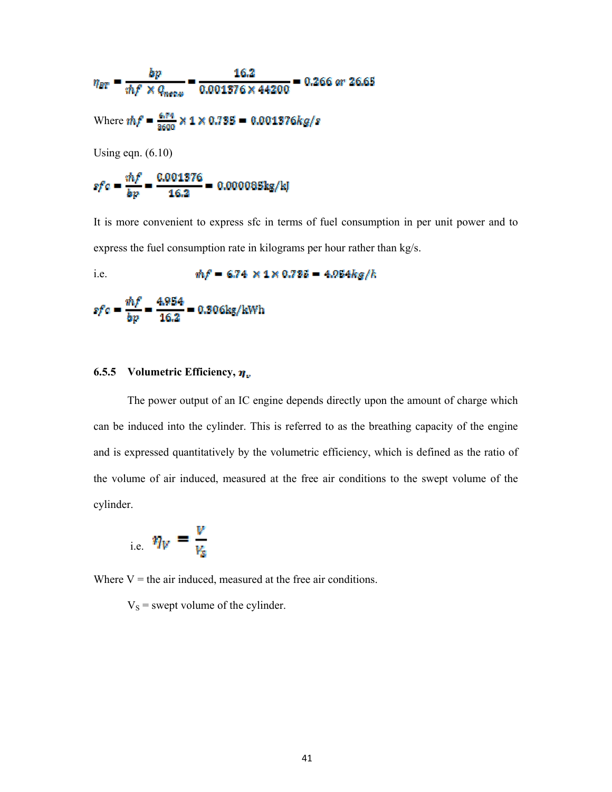$$
\eta_{BT} = \frac{bp}{\pi h f \times q_{\text{neaw}}} = \frac{16.2}{0.001576 \times 44200} = 0.266 \text{ or } 26.65
$$
  
Where  $nhf = \frac{6.74}{3600} \times 1 \times 0.735 = 0.001376 kg/s$ 

Using eqn. (6.10)

$$
sfc = \frac{ihf}{bp} = \frac{0.001376}{16.2} = 0.000085 \text{kg/k}
$$

It is more convenient to express sfc in terms of fuel consumption in per unit power and to express the fuel consumption rate in kilograms per hour rather than kg/s.

i.e. 
$$
hf = 6.74 \times 1 \times 0.785 = 4.054 kg/k
$$

$$
sfc = \frac{hf}{bp} = \frac{4.954}{16.2} = 0.306 \text{kg/kWh}
$$

# **6.5.5 Volumetric Efficiency,**

The power output of an IC engine depends directly upon the amount of charge which can be induced into the cylinder. This is referred to as the breathing capacity of the engine and is expressed quantitatively by the volumetric efficiency, which is defined as the ratio of the volume of air induced, measured at the free air conditions to the swept volume of the cylinder.

$$
v_{\rm{te}} = \eta_V = \frac{V}{V_S}
$$

Where  $V =$  the air induced, measured at the free air conditions.

 $V<sub>S</sub>$  = swept volume of the cylinder.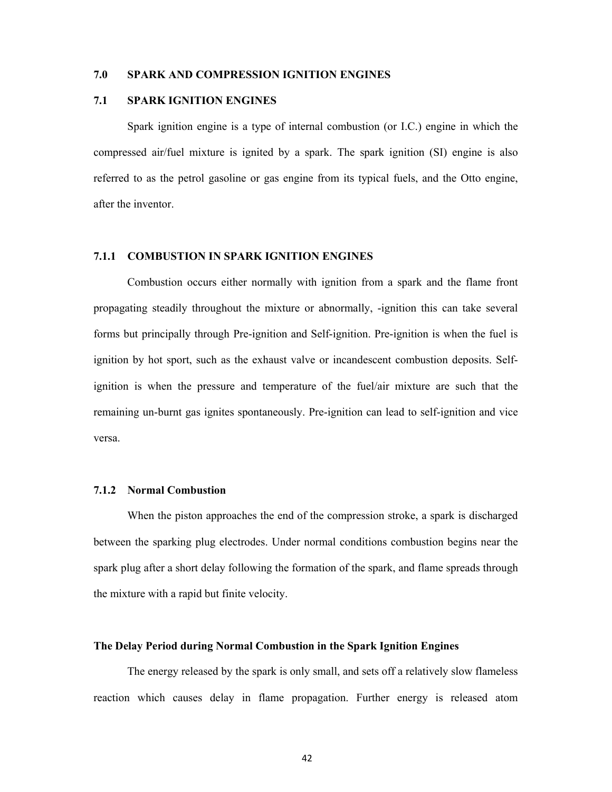## **7.0 SPARK AND COMPRESSION IGNITION ENGINES**

# **7.1 SPARK IGNITION ENGINES**

Spark ignition engine is a type of internal combustion (or I.C.) engine in which the compressed air/fuel mixture is ignited by a spark. The spark ignition (SI) engine is also referred to as the petrol gasoline or gas engine from its typical fuels, and the Otto engine, after the inventor.

#### **7.1.1 COMBUSTION IN SPARK IGNITION ENGINES**

Combustion occurs either normally with ignition from a spark and the flame front propagating steadily throughout the mixture or abnormally, -ignition this can take several forms but principally through Pre-ignition and Self-ignition. Pre-ignition is when the fuel is ignition by hot sport, such as the exhaust valve or incandescent combustion deposits. Selfignition is when the pressure and temperature of the fuel/air mixture are such that the remaining un-burnt gas ignites spontaneously. Pre-ignition can lead to self-ignition and vice versa.

# **7.1.2 Normal Combustion**

When the piston approaches the end of the compression stroke, a spark is discharged between the sparking plug electrodes. Under normal conditions combustion begins near the spark plug after a short delay following the formation of the spark, and flame spreads through the mixture with a rapid but finite velocity.

# **The Delay Period during Normal Combustion in the Spark Ignition Engines**

The energy released by the spark is only small, and sets off a relatively slow flameless reaction which causes delay in flame propagation. Further energy is released atom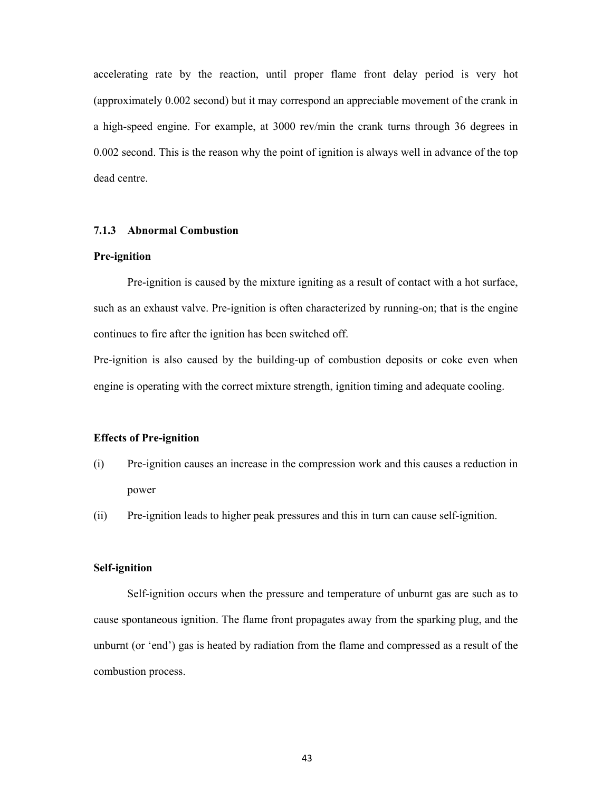accelerating rate by the reaction, until proper flame front delay period is very hot (approximately 0.002 second) but it may correspond an appreciable movement of the crank in a high-speed engine. For example, at 3000 rev/min the crank turns through 36 degrees in 0.002 second. This is the reason why the point of ignition is always well in advance of the top dead centre.

# **7.1.3 Abnormal Combustion**

#### **Pre-ignition**

Pre-ignition is caused by the mixture igniting as a result of contact with a hot surface, such as an exhaust valve. Pre-ignition is often characterized by running-on; that is the engine continues to fire after the ignition has been switched off.

Pre-ignition is also caused by the building-up of combustion deposits or coke even when engine is operating with the correct mixture strength, ignition timing and adequate cooling.

#### **Effects of Pre-ignition**

- (i) Pre-ignition causes an increase in the compression work and this causes a reduction in power
- (ii) Pre-ignition leads to higher peak pressures and this in turn can cause self-ignition.

#### **Self-ignition**

Self-ignition occurs when the pressure and temperature of unburnt gas are such as to cause spontaneous ignition. The flame front propagates away from the sparking plug, and the unburnt (or 'end') gas is heated by radiation from the flame and compressed as a result of the combustion process.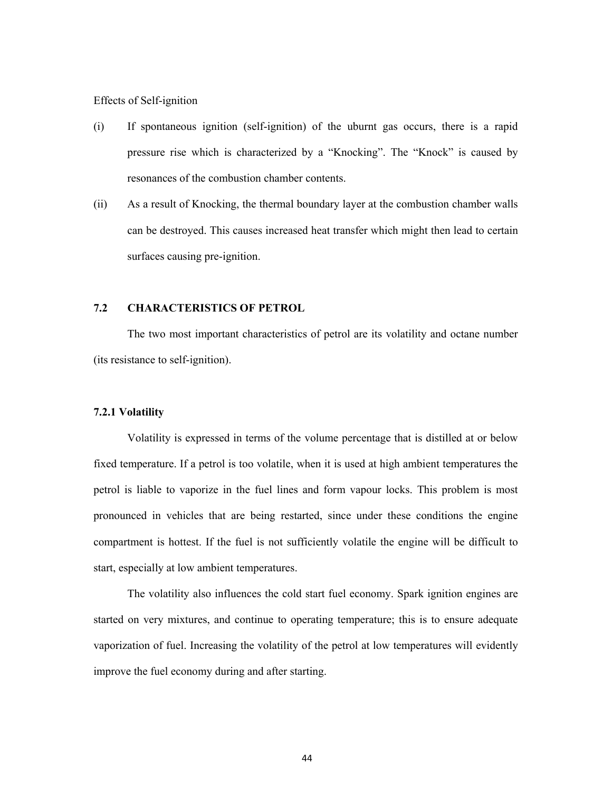### Effects of Self-ignition

- (i) If spontaneous ignition (self-ignition) of the uburnt gas occurs, there is a rapid pressure rise which is characterized by a "Knocking". The "Knock" is caused by resonances of the combustion chamber contents.
- (ii) As a result of Knocking, the thermal boundary layer at the combustion chamber walls can be destroyed. This causes increased heat transfer which might then lead to certain surfaces causing pre-ignition.

# **7.2 CHARACTERISTICS OF PETROL**

The two most important characteristics of petrol are its volatility and octane number (its resistance to self-ignition).

# **7.2.1 Volatility**

Volatility is expressed in terms of the volume percentage that is distilled at or below fixed temperature. If a petrol is too volatile, when it is used at high ambient temperatures the petrol is liable to vaporize in the fuel lines and form vapour locks. This problem is most pronounced in vehicles that are being restarted, since under these conditions the engine compartment is hottest. If the fuel is not sufficiently volatile the engine will be difficult to start, especially at low ambient temperatures.

The volatility also influences the cold start fuel economy. Spark ignition engines are started on very mixtures, and continue to operating temperature; this is to ensure adequate vaporization of fuel. Increasing the volatility of the petrol at low temperatures will evidently improve the fuel economy during and after starting.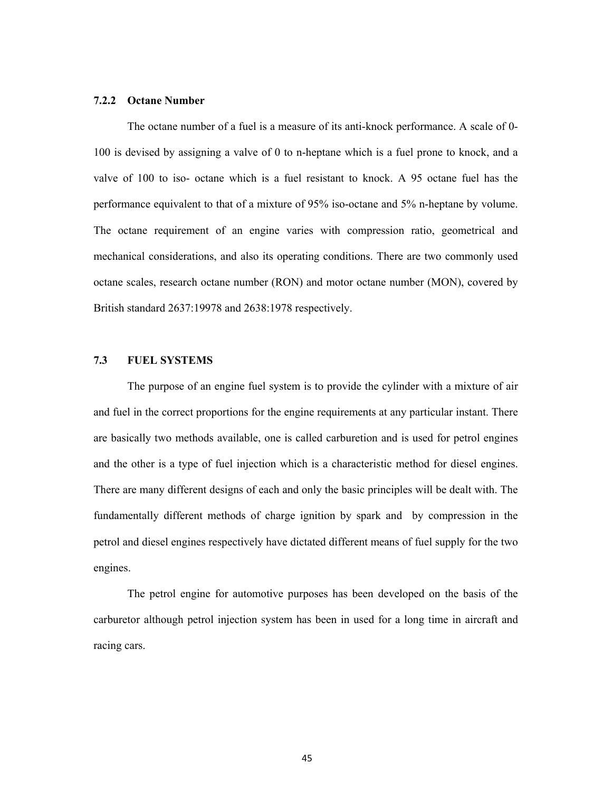## **7.2.2 Octane Number**

The octane number of a fuel is a measure of its anti-knock performance. A scale of 0- 100 is devised by assigning a valve of 0 to n-heptane which is a fuel prone to knock, and a valve of 100 to iso- octane which is a fuel resistant to knock. A 95 octane fuel has the performance equivalent to that of a mixture of 95% iso-octane and 5% n-heptane by volume. The octane requirement of an engine varies with compression ratio, geometrical and mechanical considerations, and also its operating conditions. There are two commonly used octane scales, research octane number (RON) and motor octane number (MON), covered by British standard 2637:19978 and 2638:1978 respectively.

# **7.3 FUEL SYSTEMS**

The purpose of an engine fuel system is to provide the cylinder with a mixture of air and fuel in the correct proportions for the engine requirements at any particular instant. There are basically two methods available, one is called carburetion and is used for petrol engines and the other is a type of fuel injection which is a characteristic method for diesel engines. There are many different designs of each and only the basic principles will be dealt with. The fundamentally different methods of charge ignition by spark and by compression in the petrol and diesel engines respectively have dictated different means of fuel supply for the two engines.

The petrol engine for automotive purposes has been developed on the basis of the carburetor although petrol injection system has been in used for a long time in aircraft and racing cars.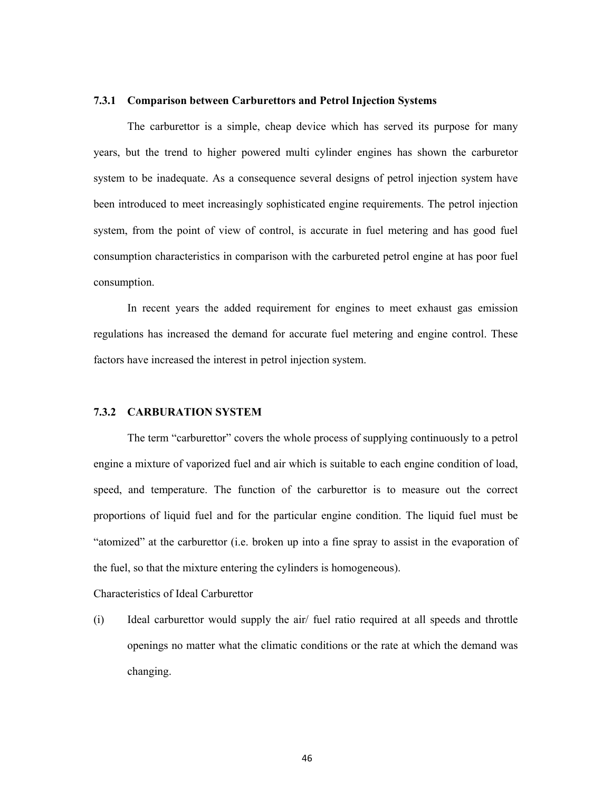#### **7.3.1 Comparison between Carburettors and Petrol Injection Systems**

The carburettor is a simple, cheap device which has served its purpose for many years, but the trend to higher powered multi cylinder engines has shown the carburetor system to be inadequate. As a consequence several designs of petrol injection system have been introduced to meet increasingly sophisticated engine requirements. The petrol injection system, from the point of view of control, is accurate in fuel metering and has good fuel consumption characteristics in comparison with the carbureted petrol engine at has poor fuel consumption.

In recent years the added requirement for engines to meet exhaust gas emission regulations has increased the demand for accurate fuel metering and engine control. These factors have increased the interest in petrol injection system.

#### **7.3.2 CARBURATION SYSTEM**

The term "carburettor" covers the whole process of supplying continuously to a petrol engine a mixture of vaporized fuel and air which is suitable to each engine condition of load, speed, and temperature. The function of the carburettor is to measure out the correct proportions of liquid fuel and for the particular engine condition. The liquid fuel must be "atomized" at the carburettor (i.e. broken up into a fine spray to assist in the evaporation of the fuel, so that the mixture entering the cylinders is homogeneous).

Characteristics of Ideal Carburettor

(i) Ideal carburettor would supply the air/ fuel ratio required at all speeds and throttle openings no matter what the climatic conditions or the rate at which the demand was changing.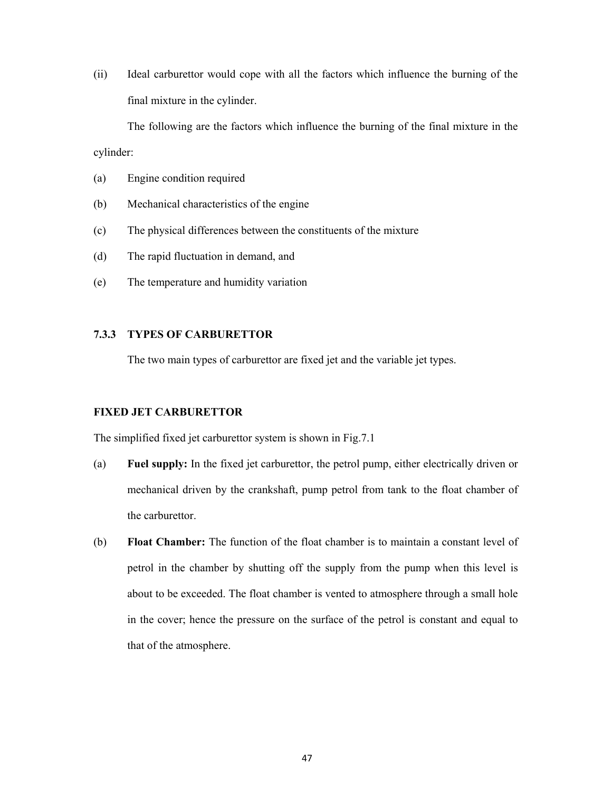(ii) Ideal carburettor would cope with all the factors which influence the burning of the final mixture in the cylinder.

The following are the factors which influence the burning of the final mixture in the cylinder:

- (a) Engine condition required
- (b) Mechanical characteristics of the engine
- (c) The physical differences between the constituents of the mixture
- (d) The rapid fluctuation in demand, and
- (e) The temperature and humidity variation

# **7.3.3 TYPES OF CARBURETTOR**

The two main types of carburettor are fixed jet and the variable jet types.

# **FIXED JET CARBURETTOR**

The simplified fixed jet carburettor system is shown in Fig.7.1

- (a) **Fuel supply:** In the fixed jet carburettor, the petrol pump, either electrically driven or mechanical driven by the crankshaft, pump petrol from tank to the float chamber of the carburettor.
- (b) **Float Chamber:** The function of the float chamber is to maintain a constant level of petrol in the chamber by shutting off the supply from the pump when this level is about to be exceeded. The float chamber is vented to atmosphere through a small hole in the cover; hence the pressure on the surface of the petrol is constant and equal to that of the atmosphere.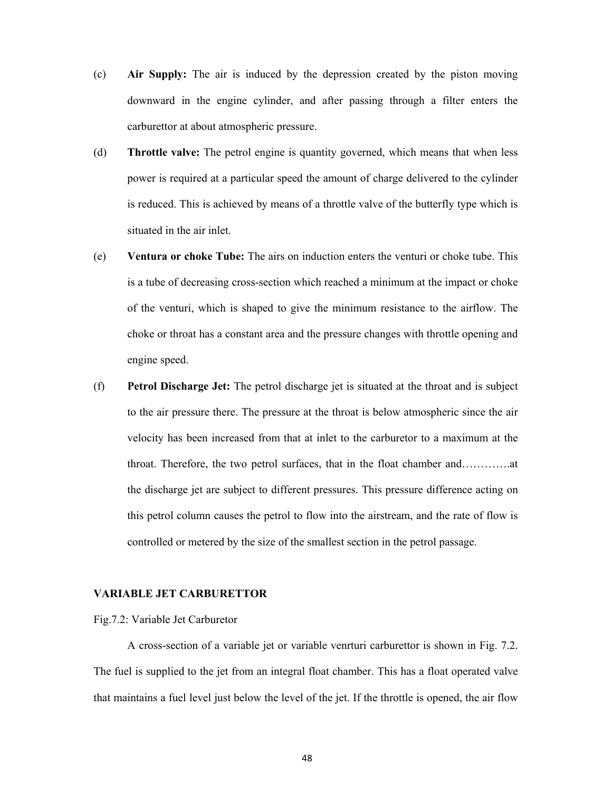- (c) **Air Supply:** The air is induced by the depression created by the piston moving downward in the engine cylinder, and after passing through a filter enters the carburettor at about atmospheric pressure.
- (d) **Throttle valve:** The petrol engine is quantity governed, which means that when less power is required at a particular speed the amount of charge delivered to the cylinder is reduced. This is achieved by means of a throttle valve of the butterfly type which is situated in the air inlet.
- (e) **Ventura or choke Tube:** The airs on induction enters the venturi or choke tube. This is a tube of decreasing cross-section which reached a minimum at the impact or choke of the venturi, which is shaped to give the minimum resistance to the airflow. The choke or throat has a constant area and the pressure changes with throttle opening and engine speed.
- (f) **Petrol Discharge Jet:** The petrol discharge jet is situated at the throat and is subject to the air pressure there. The pressure at the throat is below atmospheric since the air velocity has been increased from that at inlet to the carburetor to a maximum at the throat. Therefore, the two petrol surfaces, that in the float chamber and………….at the discharge jet are subject to different pressures. This pressure difference acting on this petrol column causes the petrol to flow into the airstream, and the rate of flow is controlled or metered by the size of the smallest section in the petrol passage.

# **VARIABLE JET CARBURETTOR**

#### Fig.7.2: Variable Jet Carburetor

A cross-section of a variable jet or variable venrturi carburettor is shown in Fig. 7.2. The fuel is supplied to the jet from an integral float chamber. This has a float operated valve that maintains a fuel level just below the level of the jet. If the throttle is opened, the air flow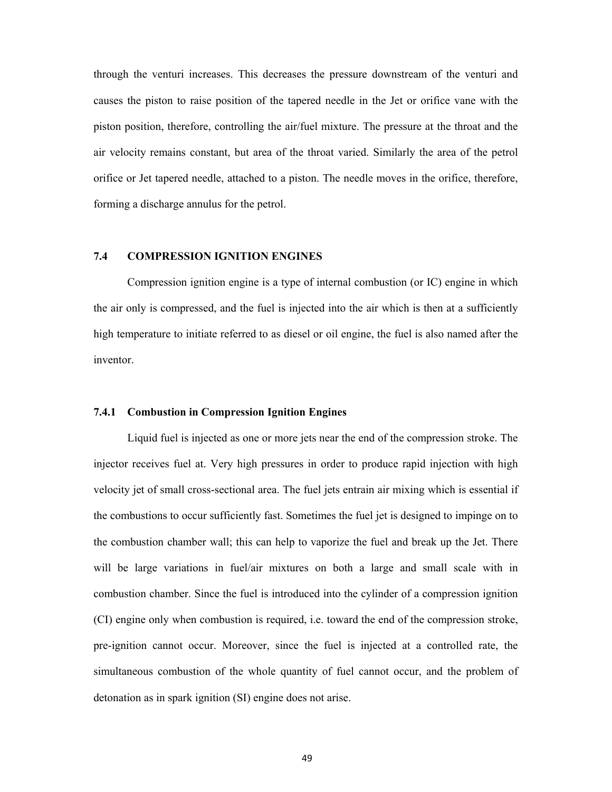through the venturi increases. This decreases the pressure downstream of the venturi and causes the piston to raise position of the tapered needle in the Jet or orifice vane with the piston position, therefore, controlling the air/fuel mixture. The pressure at the throat and the air velocity remains constant, but area of the throat varied. Similarly the area of the petrol orifice or Jet tapered needle, attached to a piston. The needle moves in the orifice, therefore, forming a discharge annulus for the petrol.

#### **7.4 COMPRESSION IGNITION ENGINES**

Compression ignition engine is a type of internal combustion (or IC) engine in which the air only is compressed, and the fuel is injected into the air which is then at a sufficiently high temperature to initiate referred to as diesel or oil engine, the fuel is also named after the inventor.

# **7.4.1 Combustion in Compression Ignition Engines**

Liquid fuel is injected as one or more jets near the end of the compression stroke. The injector receives fuel at. Very high pressures in order to produce rapid injection with high velocity jet of small cross-sectional area. The fuel jets entrain air mixing which is essential if the combustions to occur sufficiently fast. Sometimes the fuel jet is designed to impinge on to the combustion chamber wall; this can help to vaporize the fuel and break up the Jet. There will be large variations in fuel/air mixtures on both a large and small scale with in combustion chamber. Since the fuel is introduced into the cylinder of a compression ignition (CI) engine only when combustion is required, i.e. toward the end of the compression stroke, pre-ignition cannot occur. Moreover, since the fuel is injected at a controlled rate, the simultaneous combustion of the whole quantity of fuel cannot occur, and the problem of detonation as in spark ignition (SI) engine does not arise.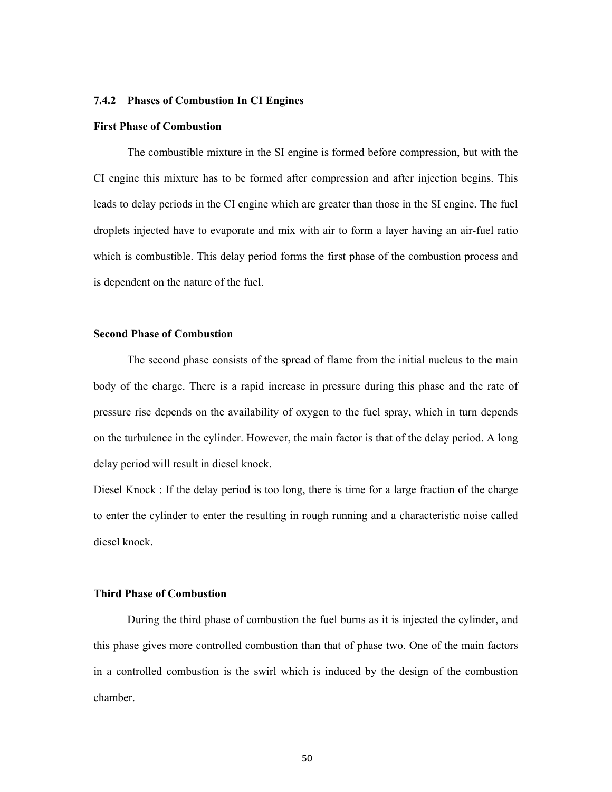#### **7.4.2 Phases of Combustion In CI Engines**

## **First Phase of Combustion**

The combustible mixture in the SI engine is formed before compression, but with the CI engine this mixture has to be formed after compression and after injection begins. This leads to delay periods in the CI engine which are greater than those in the SI engine. The fuel droplets injected have to evaporate and mix with air to form a layer having an air-fuel ratio which is combustible. This delay period forms the first phase of the combustion process and is dependent on the nature of the fuel.

#### **Second Phase of Combustion**

The second phase consists of the spread of flame from the initial nucleus to the main body of the charge. There is a rapid increase in pressure during this phase and the rate of pressure rise depends on the availability of oxygen to the fuel spray, which in turn depends on the turbulence in the cylinder. However, the main factor is that of the delay period. A long delay period will result in diesel knock.

Diesel Knock : If the delay period is too long, there is time for a large fraction of the charge to enter the cylinder to enter the resulting in rough running and a characteristic noise called diesel knock.

# **Third Phase of Combustion**

During the third phase of combustion the fuel burns as it is injected the cylinder, and this phase gives more controlled combustion than that of phase two. One of the main factors in a controlled combustion is the swirl which is induced by the design of the combustion chamber.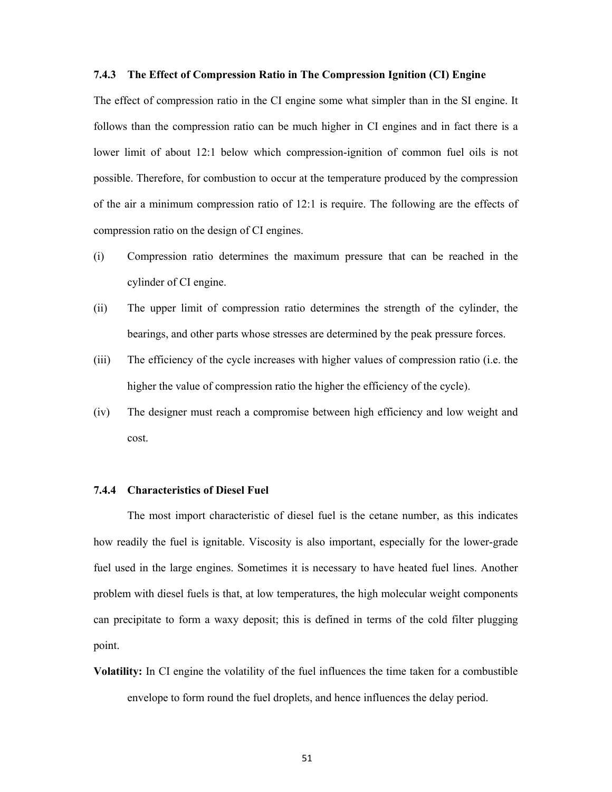#### **7.4.3 The Effect of Compression Ratio in The Compression Ignition (CI) Engine**

The effect of compression ratio in the CI engine some what simpler than in the SI engine. It follows than the compression ratio can be much higher in CI engines and in fact there is a lower limit of about 12:1 below which compression-ignition of common fuel oils is not possible. Therefore, for combustion to occur at the temperature produced by the compression of the air a minimum compression ratio of 12:1 is require. The following are the effects of compression ratio on the design of CI engines.

- (i) Compression ratio determines the maximum pressure that can be reached in the cylinder of CI engine.
- (ii) The upper limit of compression ratio determines the strength of the cylinder, the bearings, and other parts whose stresses are determined by the peak pressure forces.
- (iii) The efficiency of the cycle increases with higher values of compression ratio (i.e. the higher the value of compression ratio the higher the efficiency of the cycle).
- (iv) The designer must reach a compromise between high efficiency and low weight and cost.

# **7.4.4 Characteristics of Diesel Fuel**

The most import characteristic of diesel fuel is the cetane number, as this indicates how readily the fuel is ignitable. Viscosity is also important, especially for the lower-grade fuel used in the large engines. Sometimes it is necessary to have heated fuel lines. Another problem with diesel fuels is that, at low temperatures, the high molecular weight components can precipitate to form a waxy deposit; this is defined in terms of the cold filter plugging point.

**Volatility:** In CI engine the volatility of the fuel influences the time taken for a combustible envelope to form round the fuel droplets, and hence influences the delay period.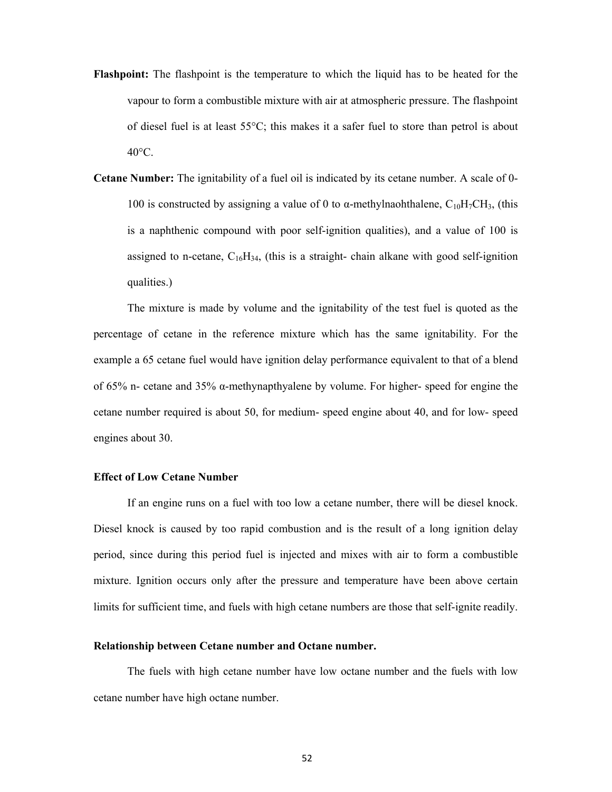- **Flashpoint:** The flashpoint is the temperature to which the liquid has to be heated for the vapour to form a combustible mixture with air at atmospheric pressure. The flashpoint of diesel fuel is at least 55°C; this makes it a safer fuel to store than petrol is about 40°C.
- **Cetane Number:** The ignitability of a fuel oil is indicated by its cetane number. A scale of 0- 100 is constructed by assigning a value of 0 to α-methylnaohthalene,  $C_{10}H_7CH_3$ , (this is a naphthenic compound with poor self-ignition qualities), and a value of 100 is assigned to n-cetane,  $C_{16}H_{34}$ , (this is a straight- chain alkane with good self-ignition qualities.)

The mixture is made by volume and the ignitability of the test fuel is quoted as the percentage of cetane in the reference mixture which has the same ignitability. For the example a 65 cetane fuel would have ignition delay performance equivalent to that of a blend of 65% n- cetane and 35% α-methynapthyalene by volume. For higher- speed for engine the cetane number required is about 50, for medium- speed engine about 40, and for low- speed engines about 30.

#### **Effect of Low Cetane Number**

If an engine runs on a fuel with too low a cetane number, there will be diesel knock. Diesel knock is caused by too rapid combustion and is the result of a long ignition delay period, since during this period fuel is injected and mixes with air to form a combustible mixture. Ignition occurs only after the pressure and temperature have been above certain limits for sufficient time, and fuels with high cetane numbers are those that self-ignite readily.

# **Relationship between Cetane number and Octane number.**

The fuels with high cetane number have low octane number and the fuels with low cetane number have high octane number.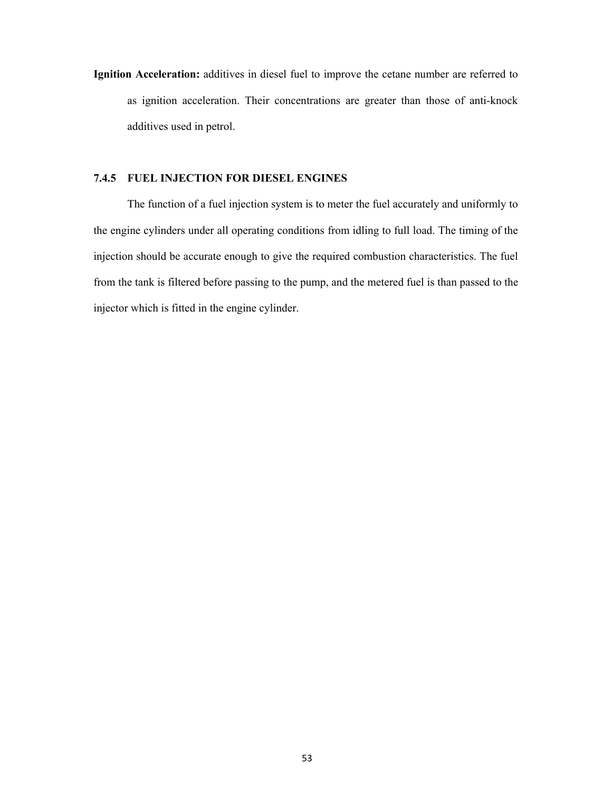**Ignition Acceleration:** additives in diesel fuel to improve the cetane number are referred to as ignition acceleration. Their concentrations are greater than those of anti-knock additives used in petrol.

# **7.4.5 FUEL INJECTION FOR DIESEL ENGINES**

The function of a fuel injection system is to meter the fuel accurately and uniformly to the engine cylinders under all operating conditions from idling to full load. The timing of the injection should be accurate enough to give the required combustion characteristics. The fuel from the tank is filtered before passing to the pump, and the metered fuel is than passed to the injector which is fitted in the engine cylinder.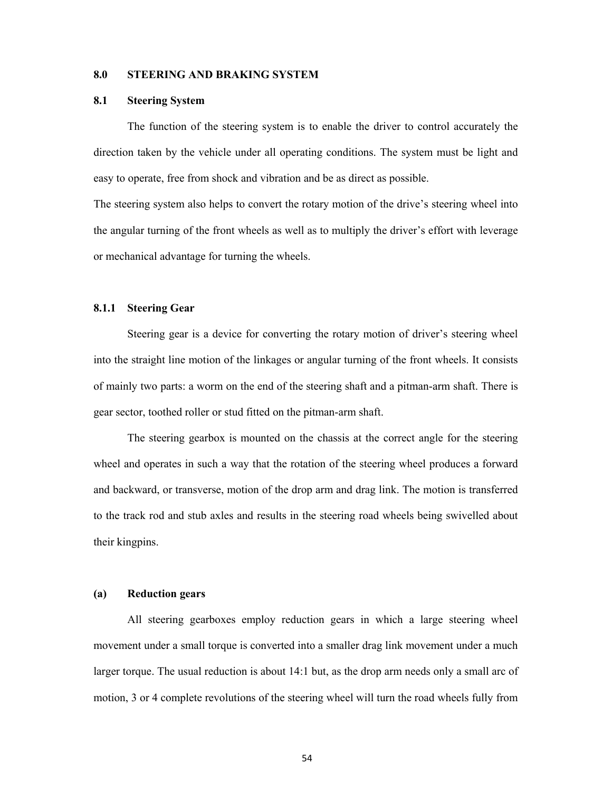## **8.0 STEERING AND BRAKING SYSTEM**

## **8.1 Steering System**

The function of the steering system is to enable the driver to control accurately the direction taken by the vehicle under all operating conditions. The system must be light and easy to operate, free from shock and vibration and be as direct as possible.

The steering system also helps to convert the rotary motion of the drive's steering wheel into the angular turning of the front wheels as well as to multiply the driver's effort with leverage or mechanical advantage for turning the wheels.

# **8.1.1 Steering Gear**

Steering gear is a device for converting the rotary motion of driver's steering wheel into the straight line motion of the linkages or angular turning of the front wheels. It consists of mainly two parts: a worm on the end of the steering shaft and a pitman-arm shaft. There is gear sector, toothed roller or stud fitted on the pitman-arm shaft.

The steering gearbox is mounted on the chassis at the correct angle for the steering wheel and operates in such a way that the rotation of the steering wheel produces a forward and backward, or transverse, motion of the drop arm and drag link. The motion is transferred to the track rod and stub axles and results in the steering road wheels being swivelled about their kingpins.

## **(a) Reduction gears**

All steering gearboxes employ reduction gears in which a large steering wheel movement under a small torque is converted into a smaller drag link movement under a much larger torque. The usual reduction is about 14:1 but, as the drop arm needs only a small arc of motion, 3 or 4 complete revolutions of the steering wheel will turn the road wheels fully from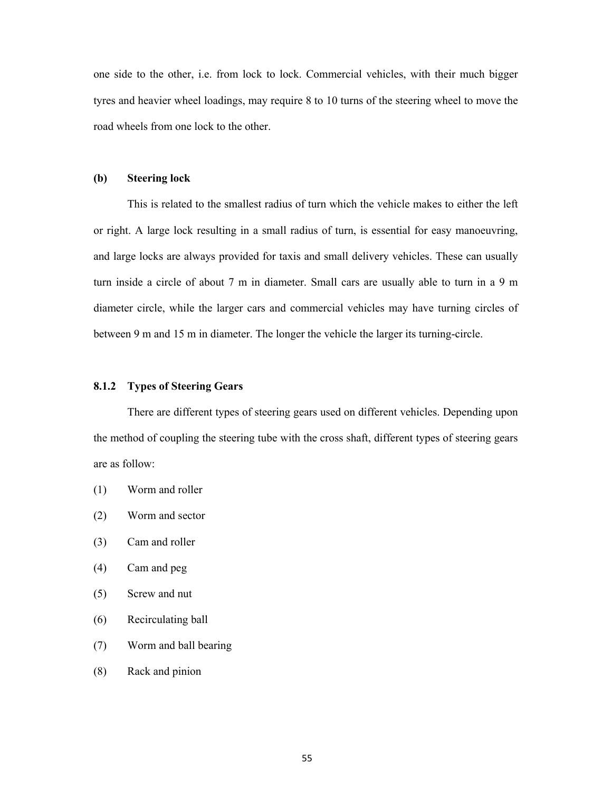one side to the other, i.e. from lock to lock. Commercial vehicles, with their much bigger tyres and heavier wheel loadings, may require 8 to 10 turns of the steering wheel to move the road wheels from one lock to the other.

# **(b) Steering lock**

This is related to the smallest radius of turn which the vehicle makes to either the left or right. A large lock resulting in a small radius of turn, is essential for easy manoeuvring, and large locks are always provided for taxis and small delivery vehicles. These can usually turn inside a circle of about 7 m in diameter. Small cars are usually able to turn in a 9 m diameter circle, while the larger cars and commercial vehicles may have turning circles of between 9 m and 15 m in diameter. The longer the vehicle the larger its turning-circle.

# **8.1.2 Types of Steering Gears**

There are different types of steering gears used on different vehicles. Depending upon the method of coupling the steering tube with the cross shaft, different types of steering gears are as follow:

- (1) Worm and roller
- (2) Worm and sector
- (3) Cam and roller
- (4) Cam and peg
- (5) Screw and nut
- (6) Recirculating ball
- (7) Worm and ball bearing
- (8) Rack and pinion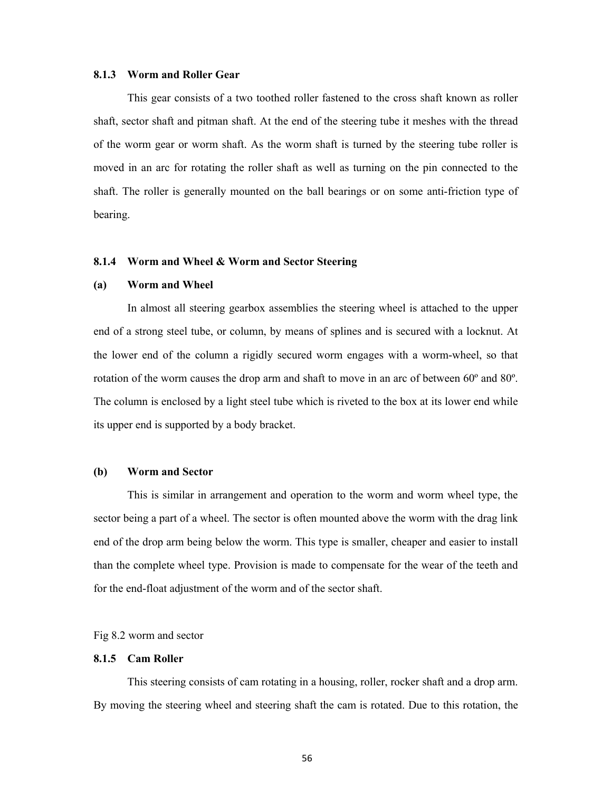#### **8.1.3 Worm and Roller Gear**

This gear consists of a two toothed roller fastened to the cross shaft known as roller shaft, sector shaft and pitman shaft. At the end of the steering tube it meshes with the thread of the worm gear or worm shaft. As the worm shaft is turned by the steering tube roller is moved in an arc for rotating the roller shaft as well as turning on the pin connected to the shaft. The roller is generally mounted on the ball bearings or on some anti-friction type of bearing.

#### **8.1.4 Worm and Wheel & Worm and Sector Steering**

#### **(a) Worm and Wheel**

In almost all steering gearbox assemblies the steering wheel is attached to the upper end of a strong steel tube, or column, by means of splines and is secured with a locknut. At the lower end of the column a rigidly secured worm engages with a worm-wheel, so that rotation of the worm causes the drop arm and shaft to move in an arc of between 60º and 80º. The column is enclosed by a light steel tube which is riveted to the box at its lower end while its upper end is supported by a body bracket.

# **(b) Worm and Sector**

This is similar in arrangement and operation to the worm and worm wheel type, the sector being a part of a wheel. The sector is often mounted above the worm with the drag link end of the drop arm being below the worm. This type is smaller, cheaper and easier to install than the complete wheel type. Provision is made to compensate for the wear of the teeth and for the end-float adjustment of the worm and of the sector shaft.

Fig 8.2 worm and sector

# **8.1.5 Cam Roller**

This steering consists of cam rotating in a housing, roller, rocker shaft and a drop arm. By moving the steering wheel and steering shaft the cam is rotated. Due to this rotation, the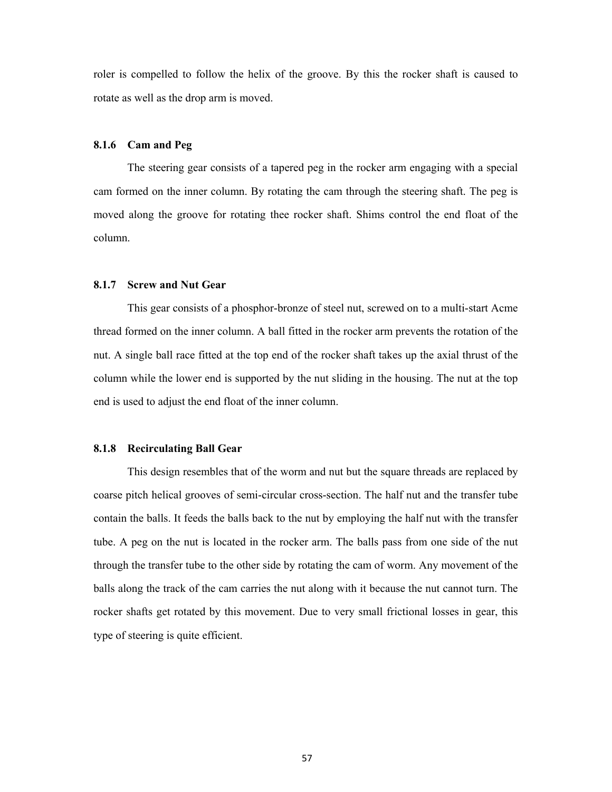roler is compelled to follow the helix of the groove. By this the rocker shaft is caused to rotate as well as the drop arm is moved.

#### **8.1.6 Cam and Peg**

The steering gear consists of a tapered peg in the rocker arm engaging with a special cam formed on the inner column. By rotating the cam through the steering shaft. The peg is moved along the groove for rotating thee rocker shaft. Shims control the end float of the column.

# **8.1.7 Screw and Nut Gear**

This gear consists of a phosphor-bronze of steel nut, screwed on to a multi-start Acme thread formed on the inner column. A ball fitted in the rocker arm prevents the rotation of the nut. A single ball race fitted at the top end of the rocker shaft takes up the axial thrust of the column while the lower end is supported by the nut sliding in the housing. The nut at the top end is used to adjust the end float of the inner column.

### **8.1.8 Recirculating Ball Gear**

This design resembles that of the worm and nut but the square threads are replaced by coarse pitch helical grooves of semi-circular cross-section. The half nut and the transfer tube contain the balls. It feeds the balls back to the nut by employing the half nut with the transfer tube. A peg on the nut is located in the rocker arm. The balls pass from one side of the nut through the transfer tube to the other side by rotating the cam of worm. Any movement of the balls along the track of the cam carries the nut along with it because the nut cannot turn. The rocker shafts get rotated by this movement. Due to very small frictional losses in gear, this type of steering is quite efficient.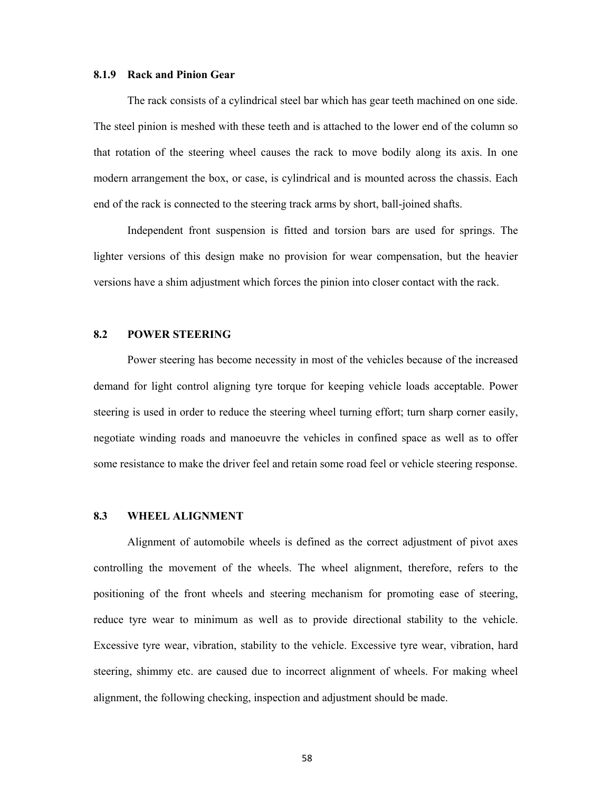#### **8.1.9 Rack and Pinion Gear**

The rack consists of a cylindrical steel bar which has gear teeth machined on one side. The steel pinion is meshed with these teeth and is attached to the lower end of the column so that rotation of the steering wheel causes the rack to move bodily along its axis. In one modern arrangement the box, or case, is cylindrical and is mounted across the chassis. Each end of the rack is connected to the steering track arms by short, ball-joined shafts.

Independent front suspension is fitted and torsion bars are used for springs. The lighter versions of this design make no provision for wear compensation, but the heavier versions have a shim adjustment which forces the pinion into closer contact with the rack.

## **8.2 POWER STEERING**

Power steering has become necessity in most of the vehicles because of the increased demand for light control aligning tyre torque for keeping vehicle loads acceptable. Power steering is used in order to reduce the steering wheel turning effort; turn sharp corner easily, negotiate winding roads and manoeuvre the vehicles in confined space as well as to offer some resistance to make the driver feel and retain some road feel or vehicle steering response.

# **8.3 WHEEL ALIGNMENT**

Alignment of automobile wheels is defined as the correct adjustment of pivot axes controlling the movement of the wheels. The wheel alignment, therefore, refers to the positioning of the front wheels and steering mechanism for promoting ease of steering, reduce tyre wear to minimum as well as to provide directional stability to the vehicle. Excessive tyre wear, vibration, stability to the vehicle. Excessive tyre wear, vibration, hard steering, shimmy etc. are caused due to incorrect alignment of wheels. For making wheel alignment, the following checking, inspection and adjustment should be made.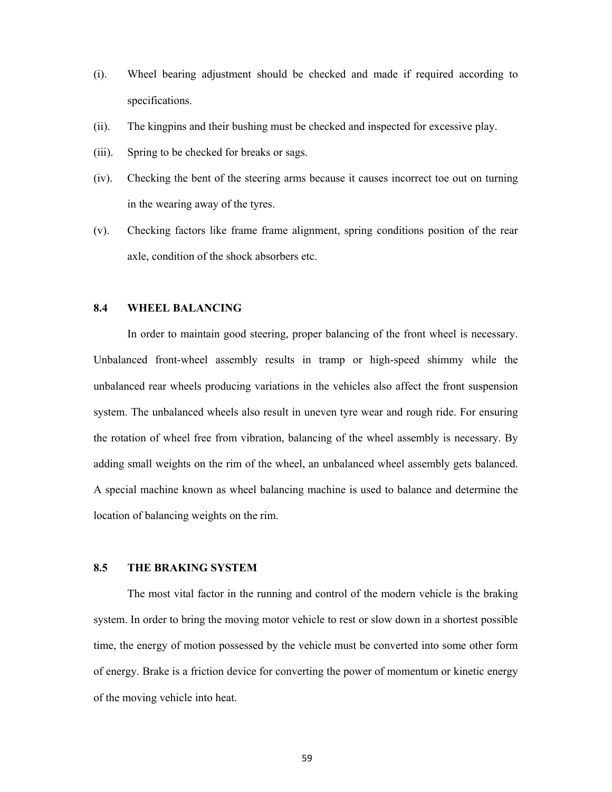- (i). Wheel bearing adjustment should be checked and made if required according to specifications.
- (ii). The kingpins and their bushing must be checked and inspected for excessive play.
- (iii). Spring to be checked for breaks or sags.
- (iv). Checking the bent of the steering arms because it causes incorrect toe out on turning in the wearing away of the tyres.
- (v). Checking factors like frame frame alignment, spring conditions position of the rear axle, condition of the shock absorbers etc.

# **8.4 WHEEL BALANCING**

In order to maintain good steering, proper balancing of the front wheel is necessary. Unbalanced front-wheel assembly results in tramp or high-speed shimmy while the unbalanced rear wheels producing variations in the vehicles also affect the front suspension system. The unbalanced wheels also result in uneven tyre wear and rough ride. For ensuring the rotation of wheel free from vibration, balancing of the wheel assembly is necessary. By adding small weights on the rim of the wheel, an unbalanced wheel assembly gets balanced. A special machine known as wheel balancing machine is used to balance and determine the location of balancing weights on the rim.

## **8.5 THE BRAKING SYSTEM**

The most vital factor in the running and control of the modern vehicle is the braking system. In order to bring the moving motor vehicle to rest or slow down in a shortest possible time, the energy of motion possessed by the vehicle must be converted into some other form of energy. Brake is a friction device for converting the power of momentum or kinetic energy of the moving vehicle into heat.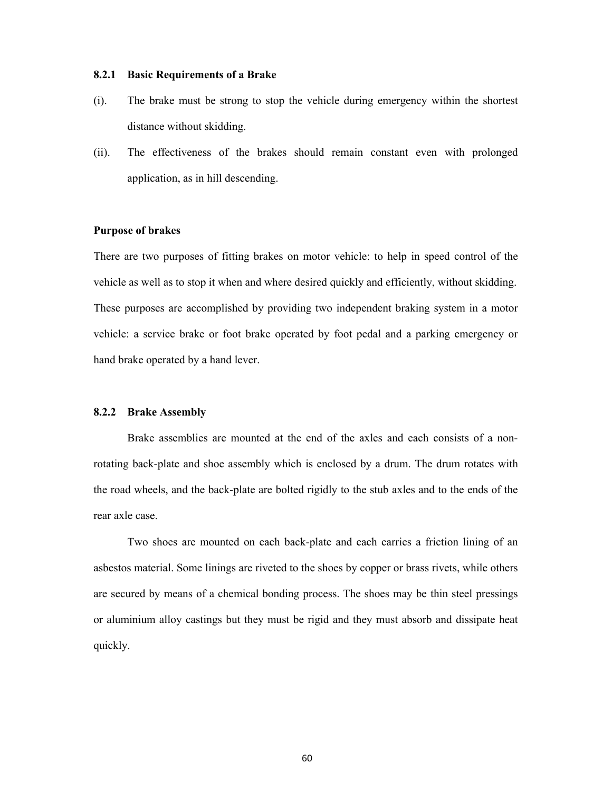## **8.2.1 Basic Requirements of a Brake**

- (i). The brake must be strong to stop the vehicle during emergency within the shortest distance without skidding.
- (ii). The effectiveness of the brakes should remain constant even with prolonged application, as in hill descending.

# **Purpose of brakes**

There are two purposes of fitting brakes on motor vehicle: to help in speed control of the vehicle as well as to stop it when and where desired quickly and efficiently, without skidding. These purposes are accomplished by providing two independent braking system in a motor vehicle: a service brake or foot brake operated by foot pedal and a parking emergency or hand brake operated by a hand lever.

# **8.2.2 Brake Assembly**

Brake assemblies are mounted at the end of the axles and each consists of a nonrotating back-plate and shoe assembly which is enclosed by a drum. The drum rotates with the road wheels, and the back-plate are bolted rigidly to the stub axles and to the ends of the rear axle case.

Two shoes are mounted on each back-plate and each carries a friction lining of an asbestos material. Some linings are riveted to the shoes by copper or brass rivets, while others are secured by means of a chemical bonding process. The shoes may be thin steel pressings or aluminium alloy castings but they must be rigid and they must absorb and dissipate heat quickly.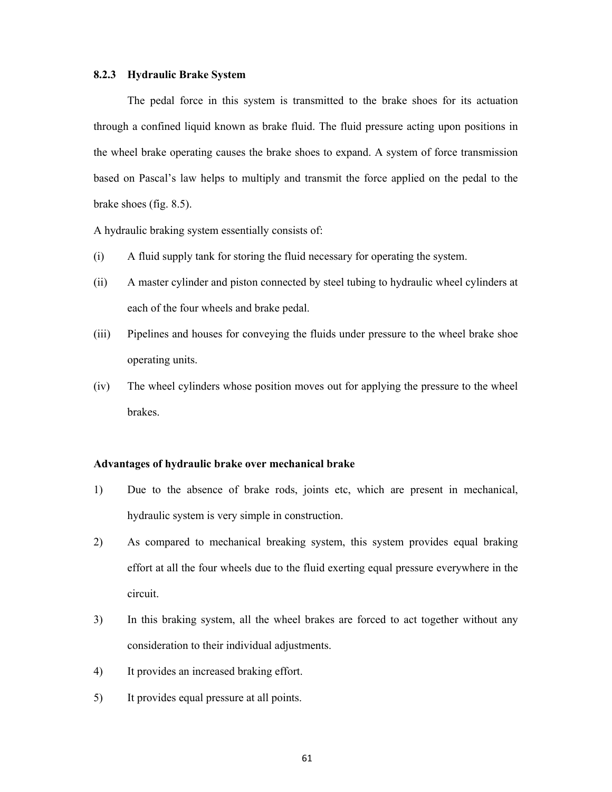#### **8.2.3 Hydraulic Brake System**

The pedal force in this system is transmitted to the brake shoes for its actuation through a confined liquid known as brake fluid. The fluid pressure acting upon positions in the wheel brake operating causes the brake shoes to expand. A system of force transmission based on Pascal's law helps to multiply and transmit the force applied on the pedal to the brake shoes (fig. 8.5).

A hydraulic braking system essentially consists of:

- (i) A fluid supply tank for storing the fluid necessary for operating the system.
- (ii) A master cylinder and piston connected by steel tubing to hydraulic wheel cylinders at each of the four wheels and brake pedal.
- (iii) Pipelines and houses for conveying the fluids under pressure to the wheel brake shoe operating units.
- (iv) The wheel cylinders whose position moves out for applying the pressure to the wheel brakes.

## **Advantages of hydraulic brake over mechanical brake**

- 1) Due to the absence of brake rods, joints etc, which are present in mechanical, hydraulic system is very simple in construction.
- 2) As compared to mechanical breaking system, this system provides equal braking effort at all the four wheels due to the fluid exerting equal pressure everywhere in the circuit.
- 3) In this braking system, all the wheel brakes are forced to act together without any consideration to their individual adjustments.
- 4) It provides an increased braking effort.
- 5) It provides equal pressure at all points.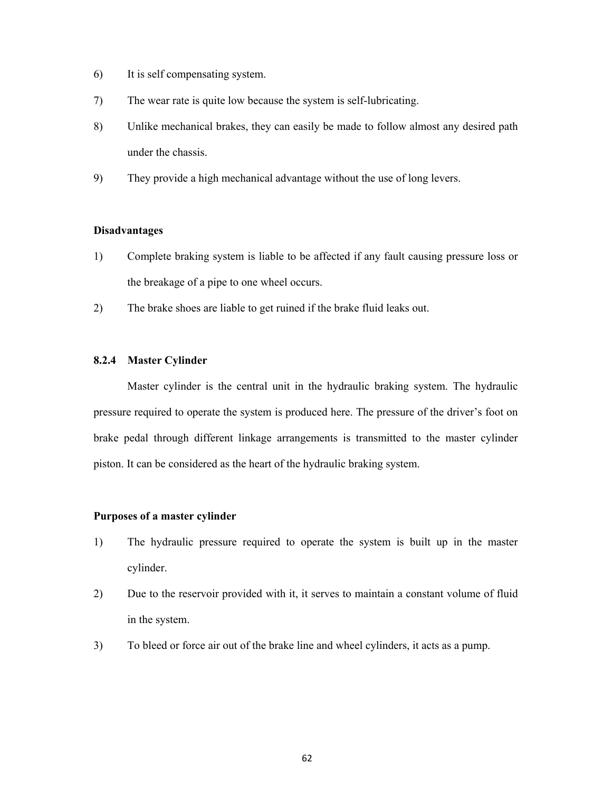- 6) It is self compensating system.
- 7) The wear rate is quite low because the system is self-lubricating.
- 8) Unlike mechanical brakes, they can easily be made to follow almost any desired path under the chassis.
- 9) They provide a high mechanical advantage without the use of long levers.

# **Disadvantages**

- 1) Complete braking system is liable to be affected if any fault causing pressure loss or the breakage of a pipe to one wheel occurs.
- 2) The brake shoes are liable to get ruined if the brake fluid leaks out.

# **8.2.4 Master Cylinder**

Master cylinder is the central unit in the hydraulic braking system. The hydraulic pressure required to operate the system is produced here. The pressure of the driver's foot on brake pedal through different linkage arrangements is transmitted to the master cylinder piston. It can be considered as the heart of the hydraulic braking system.

# **Purposes of a master cylinder**

- 1) The hydraulic pressure required to operate the system is built up in the master cylinder.
- 2) Due to the reservoir provided with it, it serves to maintain a constant volume of fluid in the system.
- 3) To bleed or force air out of the brake line and wheel cylinders, it acts as a pump.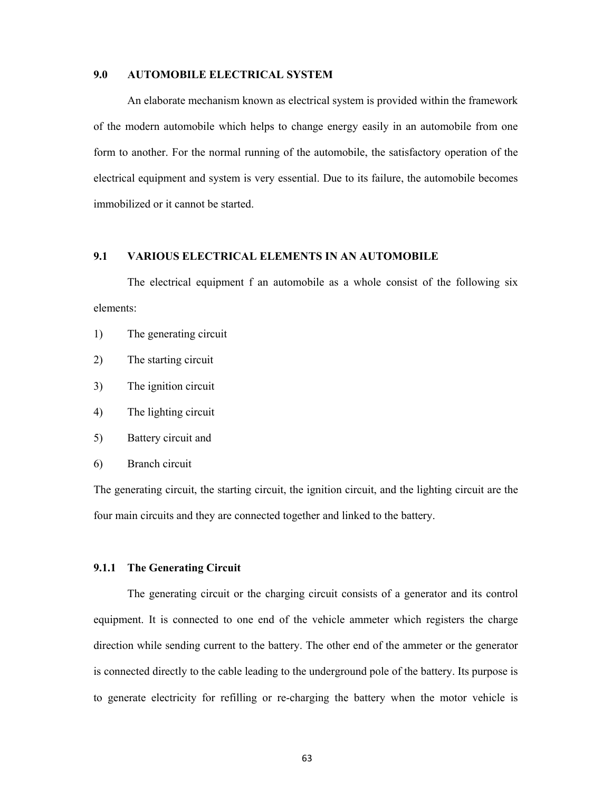# **9.0 AUTOMOBILE ELECTRICAL SYSTEM**

An elaborate mechanism known as electrical system is provided within the framework of the modern automobile which helps to change energy easily in an automobile from one form to another. For the normal running of the automobile, the satisfactory operation of the electrical equipment and system is very essential. Due to its failure, the automobile becomes immobilized or it cannot be started.

# **9.1 VARIOUS ELECTRICAL ELEMENTS IN AN AUTOMOBILE**

The electrical equipment f an automobile as a whole consist of the following six elements:

- 1) The generating circuit
- 2) The starting circuit
- 3) The ignition circuit
- 4) The lighting circuit
- 5) Battery circuit and
- 6) Branch circuit

The generating circuit, the starting circuit, the ignition circuit, and the lighting circuit are the four main circuits and they are connected together and linked to the battery.

#### **9.1.1 The Generating Circuit**

The generating circuit or the charging circuit consists of a generator and its control equipment. It is connected to one end of the vehicle ammeter which registers the charge direction while sending current to the battery. The other end of the ammeter or the generator is connected directly to the cable leading to the underground pole of the battery. Its purpose is to generate electricity for refilling or re-charging the battery when the motor vehicle is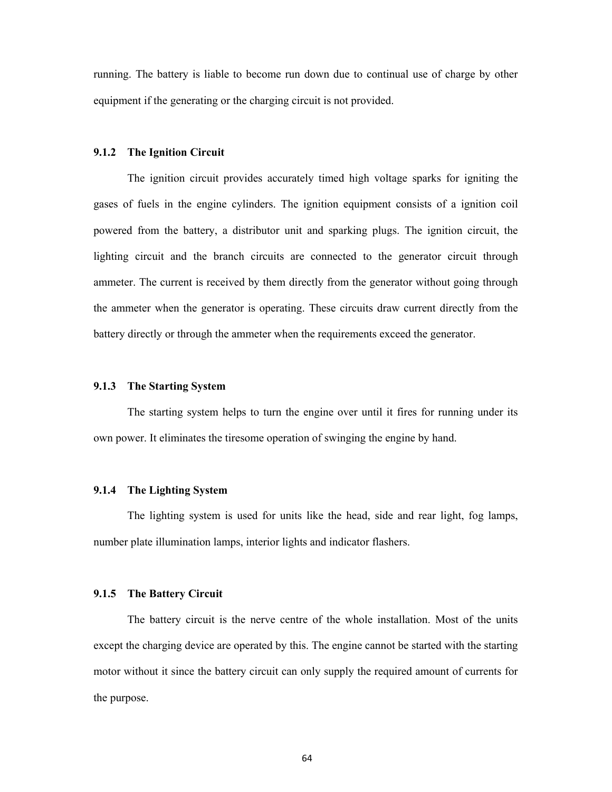running. The battery is liable to become run down due to continual use of charge by other equipment if the generating or the charging circuit is not provided.

#### **9.1.2 The Ignition Circuit**

The ignition circuit provides accurately timed high voltage sparks for igniting the gases of fuels in the engine cylinders. The ignition equipment consists of a ignition coil powered from the battery, a distributor unit and sparking plugs. The ignition circuit, the lighting circuit and the branch circuits are connected to the generator circuit through ammeter. The current is received by them directly from the generator without going through the ammeter when the generator is operating. These circuits draw current directly from the battery directly or through the ammeter when the requirements exceed the generator.

# **9.1.3 The Starting System**

The starting system helps to turn the engine over until it fires for running under its own power. It eliminates the tiresome operation of swinging the engine by hand.

# **9.1.4 The Lighting System**

The lighting system is used for units like the head, side and rear light, fog lamps, number plate illumination lamps, interior lights and indicator flashers.

# **9.1.5 The Battery Circuit**

The battery circuit is the nerve centre of the whole installation. Most of the units except the charging device are operated by this. The engine cannot be started with the starting motor without it since the battery circuit can only supply the required amount of currents for the purpose.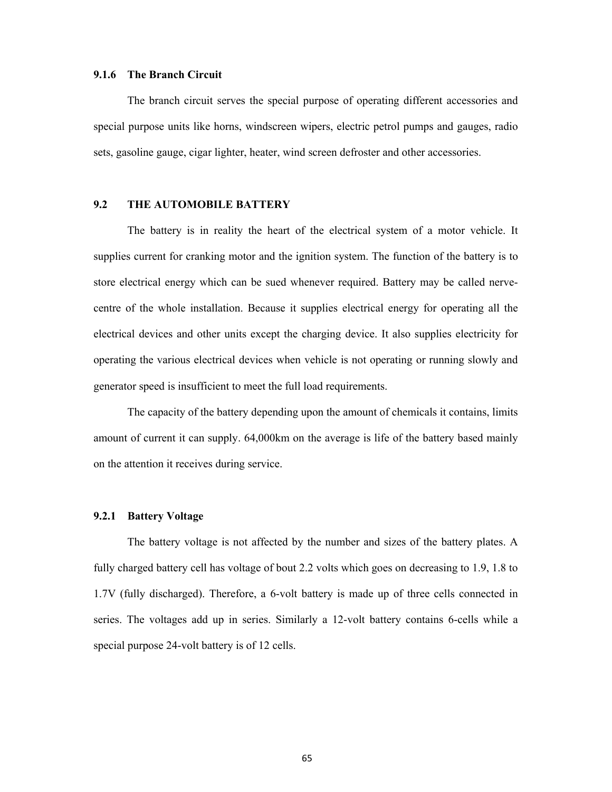#### **9.1.6 The Branch Circuit**

The branch circuit serves the special purpose of operating different accessories and special purpose units like horns, windscreen wipers, electric petrol pumps and gauges, radio sets, gasoline gauge, cigar lighter, heater, wind screen defroster and other accessories.

# **9.2 THE AUTOMOBILE BATTERY**

The battery is in reality the heart of the electrical system of a motor vehicle. It supplies current for cranking motor and the ignition system. The function of the battery is to store electrical energy which can be sued whenever required. Battery may be called nervecentre of the whole installation. Because it supplies electrical energy for operating all the electrical devices and other units except the charging device. It also supplies electricity for operating the various electrical devices when vehicle is not operating or running slowly and generator speed is insufficient to meet the full load requirements.

The capacity of the battery depending upon the amount of chemicals it contains, limits amount of current it can supply. 64,000km on the average is life of the battery based mainly on the attention it receives during service.

#### **9.2.1 Battery Voltage**

The battery voltage is not affected by the number and sizes of the battery plates. A fully charged battery cell has voltage of bout 2.2 volts which goes on decreasing to 1.9, 1.8 to 1.7V (fully discharged). Therefore, a 6-volt battery is made up of three cells connected in series. The voltages add up in series. Similarly a 12-volt battery contains 6-cells while a special purpose 24-volt battery is of 12 cells.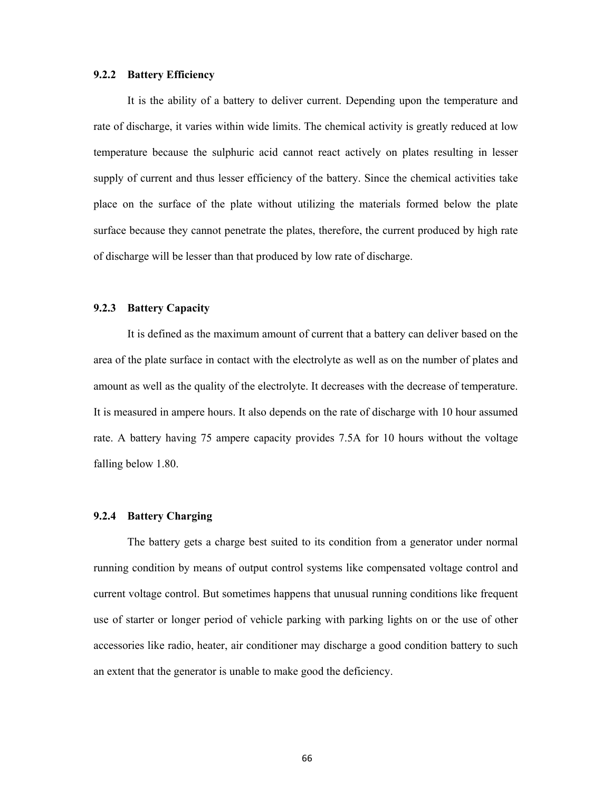#### **9.2.2 Battery Efficiency**

It is the ability of a battery to deliver current. Depending upon the temperature and rate of discharge, it varies within wide limits. The chemical activity is greatly reduced at low temperature because the sulphuric acid cannot react actively on plates resulting in lesser supply of current and thus lesser efficiency of the battery. Since the chemical activities take place on the surface of the plate without utilizing the materials formed below the plate surface because they cannot penetrate the plates, therefore, the current produced by high rate of discharge will be lesser than that produced by low rate of discharge.

# **9.2.3 Battery Capacity**

It is defined as the maximum amount of current that a battery can deliver based on the area of the plate surface in contact with the electrolyte as well as on the number of plates and amount as well as the quality of the electrolyte. It decreases with the decrease of temperature. It is measured in ampere hours. It also depends on the rate of discharge with 10 hour assumed rate. A battery having 75 ampere capacity provides 7.5A for 10 hours without the voltage falling below 1.80.

#### **9.2.4 Battery Charging**

The battery gets a charge best suited to its condition from a generator under normal running condition by means of output control systems like compensated voltage control and current voltage control. But sometimes happens that unusual running conditions like frequent use of starter or longer period of vehicle parking with parking lights on or the use of other accessories like radio, heater, air conditioner may discharge a good condition battery to such an extent that the generator is unable to make good the deficiency.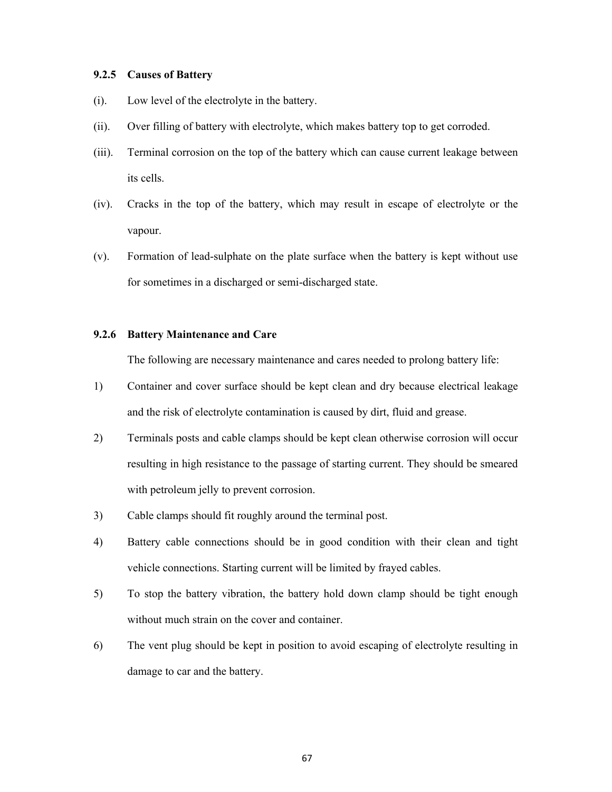#### **9.2.5 Causes of Battery**

- (i). Low level of the electrolyte in the battery.
- (ii). Over filling of battery with electrolyte, which makes battery top to get corroded.
- (iii). Terminal corrosion on the top of the battery which can cause current leakage between its cells.
- (iv). Cracks in the top of the battery, which may result in escape of electrolyte or the vapour.
- (v). Formation of lead-sulphate on the plate surface when the battery is kept without use for sometimes in a discharged or semi-discharged state.

# **9.2.6 Battery Maintenance and Care**

The following are necessary maintenance and cares needed to prolong battery life:

- 1) Container and cover surface should be kept clean and dry because electrical leakage and the risk of electrolyte contamination is caused by dirt, fluid and grease.
- 2) Terminals posts and cable clamps should be kept clean otherwise corrosion will occur resulting in high resistance to the passage of starting current. They should be smeared with petroleum jelly to prevent corrosion.
- 3) Cable clamps should fit roughly around the terminal post.
- 4) Battery cable connections should be in good condition with their clean and tight vehicle connections. Starting current will be limited by frayed cables.
- 5) To stop the battery vibration, the battery hold down clamp should be tight enough without much strain on the cover and container.
- 6) The vent plug should be kept in position to avoid escaping of electrolyte resulting in damage to car and the battery.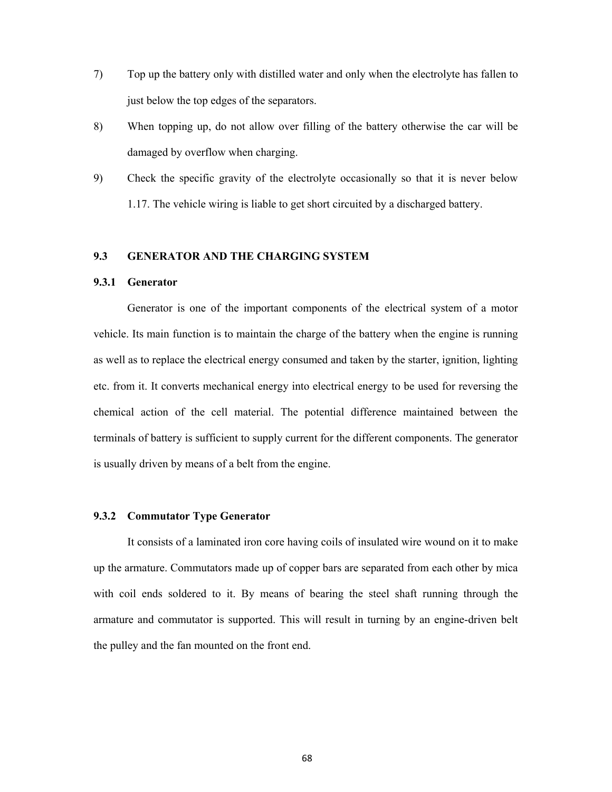- 7) Top up the battery only with distilled water and only when the electrolyte has fallen to just below the top edges of the separators.
- 8) When topping up, do not allow over filling of the battery otherwise the car will be damaged by overflow when charging.
- 9) Check the specific gravity of the electrolyte occasionally so that it is never below 1.17. The vehicle wiring is liable to get short circuited by a discharged battery.

# **9.3 GENERATOR AND THE CHARGING SYSTEM**

# **9.3.1 Generator**

Generator is one of the important components of the electrical system of a motor vehicle. Its main function is to maintain the charge of the battery when the engine is running as well as to replace the electrical energy consumed and taken by the starter, ignition, lighting etc. from it. It converts mechanical energy into electrical energy to be used for reversing the chemical action of the cell material. The potential difference maintained between the terminals of battery is sufficient to supply current for the different components. The generator is usually driven by means of a belt from the engine.

# **9.3.2 Commutator Type Generator**

It consists of a laminated iron core having coils of insulated wire wound on it to make up the armature. Commutators made up of copper bars are separated from each other by mica with coil ends soldered to it. By means of bearing the steel shaft running through the armature and commutator is supported. This will result in turning by an engine-driven belt the pulley and the fan mounted on the front end.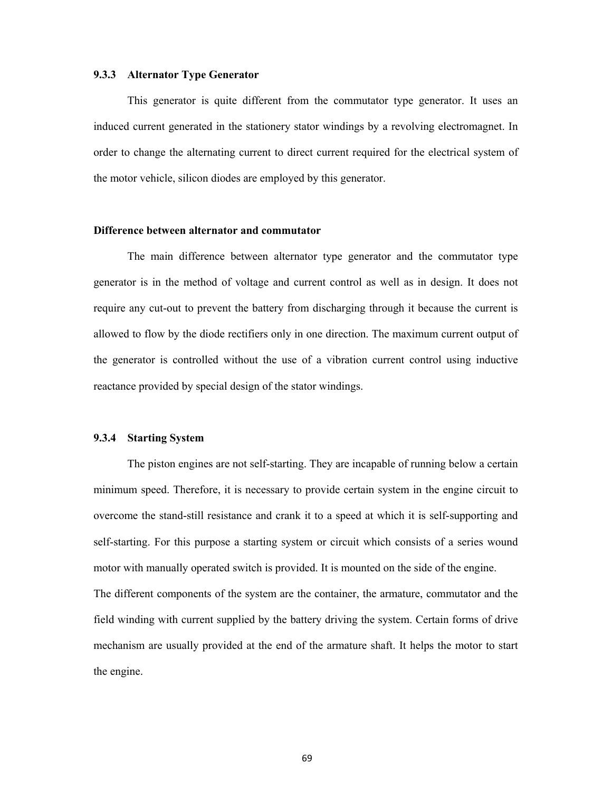#### **9.3.3 Alternator Type Generator**

This generator is quite different from the commutator type generator. It uses an induced current generated in the stationery stator windings by a revolving electromagnet. In order to change the alternating current to direct current required for the electrical system of the motor vehicle, silicon diodes are employed by this generator.

# **Difference between alternator and commutator**

The main difference between alternator type generator and the commutator type generator is in the method of voltage and current control as well as in design. It does not require any cut-out to prevent the battery from discharging through it because the current is allowed to flow by the diode rectifiers only in one direction. The maximum current output of the generator is controlled without the use of a vibration current control using inductive reactance provided by special design of the stator windings.

## **9.3.4 Starting System**

The piston engines are not self-starting. They are incapable of running below a certain minimum speed. Therefore, it is necessary to provide certain system in the engine circuit to overcome the stand-still resistance and crank it to a speed at which it is self-supporting and self-starting. For this purpose a starting system or circuit which consists of a series wound motor with manually operated switch is provided. It is mounted on the side of the engine. The different components of the system are the container, the armature, commutator and the field winding with current supplied by the battery driving the system. Certain forms of drive mechanism are usually provided at the end of the armature shaft. It helps the motor to start the engine.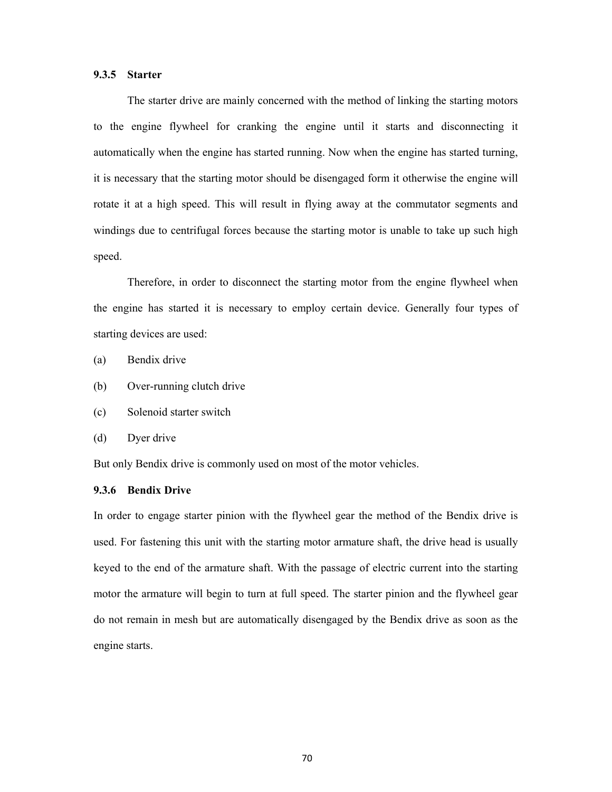#### **9.3.5 Starter**

The starter drive are mainly concerned with the method of linking the starting motors to the engine flywheel for cranking the engine until it starts and disconnecting it automatically when the engine has started running. Now when the engine has started turning, it is necessary that the starting motor should be disengaged form it otherwise the engine will rotate it at a high speed. This will result in flying away at the commutator segments and windings due to centrifugal forces because the starting motor is unable to take up such high speed.

Therefore, in order to disconnect the starting motor from the engine flywheel when the engine has started it is necessary to employ certain device. Generally four types of starting devices are used:

- (a) Bendix drive
- (b) Over-running clutch drive
- (c) Solenoid starter switch
- (d) Dyer drive

But only Bendix drive is commonly used on most of the motor vehicles.

# **9.3.6 Bendix Drive**

In order to engage starter pinion with the flywheel gear the method of the Bendix drive is used. For fastening this unit with the starting motor armature shaft, the drive head is usually keyed to the end of the armature shaft. With the passage of electric current into the starting motor the armature will begin to turn at full speed. The starter pinion and the flywheel gear do not remain in mesh but are automatically disengaged by the Bendix drive as soon as the engine starts.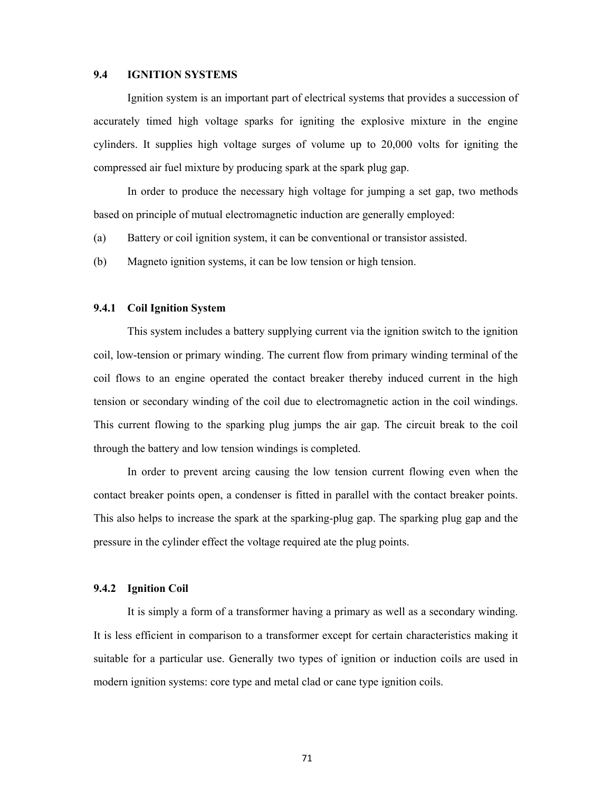# **9.4 IGNITION SYSTEMS**

Ignition system is an important part of electrical systems that provides a succession of accurately timed high voltage sparks for igniting the explosive mixture in the engine cylinders. It supplies high voltage surges of volume up to 20,000 volts for igniting the compressed air fuel mixture by producing spark at the spark plug gap.

In order to produce the necessary high voltage for jumping a set gap, two methods based on principle of mutual electromagnetic induction are generally employed:

- (a) Battery or coil ignition system, it can be conventional or transistor assisted.
- (b) Magneto ignition systems, it can be low tension or high tension.

# **9.4.1 Coil Ignition System**

This system includes a battery supplying current via the ignition switch to the ignition coil, low-tension or primary winding. The current flow from primary winding terminal of the coil flows to an engine operated the contact breaker thereby induced current in the high tension or secondary winding of the coil due to electromagnetic action in the coil windings. This current flowing to the sparking plug jumps the air gap. The circuit break to the coil through the battery and low tension windings is completed.

In order to prevent arcing causing the low tension current flowing even when the contact breaker points open, a condenser is fitted in parallel with the contact breaker points. This also helps to increase the spark at the sparking-plug gap. The sparking plug gap and the pressure in the cylinder effect the voltage required ate the plug points.

# **9.4.2 Ignition Coil**

It is simply a form of a transformer having a primary as well as a secondary winding. It is less efficient in comparison to a transformer except for certain characteristics making it suitable for a particular use. Generally two types of ignition or induction coils are used in modern ignition systems: core type and metal clad or cane type ignition coils.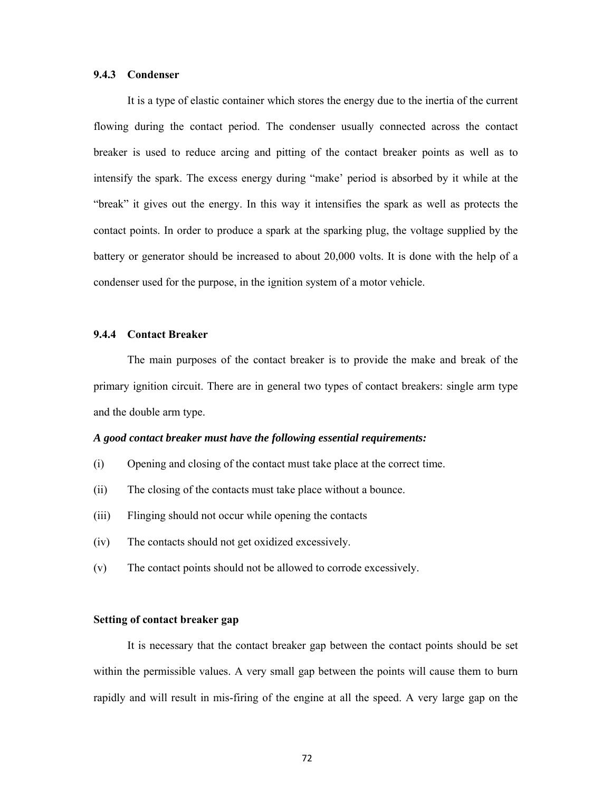#### **9.4.3 Condenser**

It is a type of elastic container which stores the energy due to the inertia of the current flowing during the contact period. The condenser usually connected across the contact breaker is used to reduce arcing and pitting of the contact breaker points as well as to intensify the spark. The excess energy during "make' period is absorbed by it while at the "break" it gives out the energy. In this way it intensifies the spark as well as protects the contact points. In order to produce a spark at the sparking plug, the voltage supplied by the battery or generator should be increased to about 20,000 volts. It is done with the help of a condenser used for the purpose, in the ignition system of a motor vehicle.

#### **9.4.4 Contact Breaker**

The main purposes of the contact breaker is to provide the make and break of the primary ignition circuit. There are in general two types of contact breakers: single arm type and the double arm type.

#### *A good contact breaker must have the following essential requirements:*

- (i) Opening and closing of the contact must take place at the correct time.
- (ii) The closing of the contacts must take place without a bounce.
- (iii) Flinging should not occur while opening the contacts
- (iv) The contacts should not get oxidized excessively.
- (v) The contact points should not be allowed to corrode excessively.

# **Setting of contact breaker gap**

It is necessary that the contact breaker gap between the contact points should be set within the permissible values. A very small gap between the points will cause them to burn rapidly and will result in mis-firing of the engine at all the speed. A very large gap on the